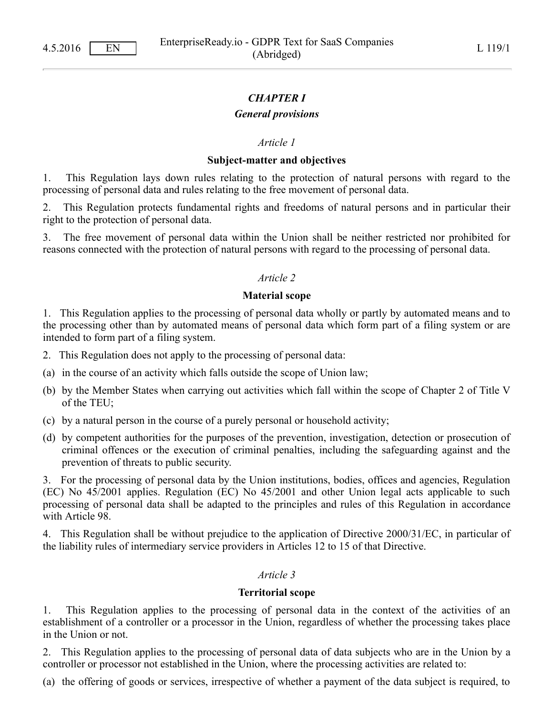#### *CHAPTER I*

#### *General provisions*

#### *Article 1*

#### **Subject-matter and objectives**

1. This Regulation lays down rules relating to the protection of natural persons with regard to the processing of personal data and rules relating to the free movement of personal data.

2. This Regulation protects fundamental rights and freedoms of natural persons and in particular their right to the protection of personal data.

3. The free movement of personal data within the Union shall be neither restricted nor prohibited for reasons connected with the protection of natural persons with regard to the processing of personal data.

#### *Article 2*

#### **Material scope**

1. This Regulation applies to the processing of personal data wholly or partly by automated means and to the processing other than by automated means of personal data which form part of a filing system or are intended to form part of a filing system.

- 2. This Regulation does not apply to the processing of personal data:
- (a) in the course of an activity which falls outside the scope of Union law;
- (b) by the Member States when carrying out activities which fall within the scope of Chapter 2 of Title V of the TEU;
- (c) by a natural person in the course of a purely personal or household activity;
- (d) by competent authorities for the purposes of the prevention, investigation, detection or prosecution of criminal offences or the execution of criminal penalties, including the safeguarding against and the prevention of threats to public security.

3. For the processing of personal data by the Union institutions, bodies, offices and agencies, Regulation (EC) No 45/2001 applies. Regulation (EC) No 45/2001 and other Union legal acts applicable to such processing of personal data shall be adapted to the principles and rules of this Regulation in accordance with Article 98.

4. This Regulation shall be without prejudice to the application of Directive 2000/31/EC, in particular of the liability rules of intermediary service providers in Articles 12 to 15 of that Directive.

#### *Article 3*

#### **Territorial scope**

1. This Regulation applies to the processing of personal data in the context of the activities of an establishment of a controller or a processor in the Union, regardless of whether the processing takes place in the Union or not.

2. This Regulation applies to the processing of personal data of data subjects who are in the Union by a controller or processor not established in the Union, where the processing activities are related to:

(a) the offering of goods or services, irrespective of whether a payment of the data subject is required, to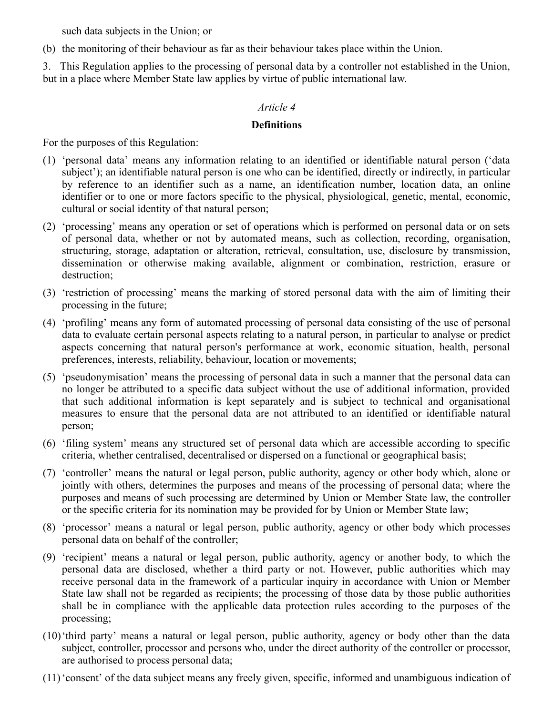such data subjects in the Union; or

(b) the monitoring of their behaviour as far as their behaviour takes place within the Union.

3. This Regulation applies to the processing of personal data by a controller not established in the Union, but in a place where Member State law applies by virtue of public international law.

## *Article 4*

## **Definitions**

For the purposes of this Regulation:

- (1) 'personal data' means any information relating to an identified or identifiable natural person ('data subject'); an identifiable natural person is one who can be identified, directly or indirectly, in particular by reference to an identifier such as a name, an identification number, location data, an online identifier or to one or more factors specific to the physical, physiological, genetic, mental, economic, cultural or social identity of that natural person;
- (2) 'processing' means any operation or set of operations which is performed on personal data or on sets of personal data, whether or not by automated means, such as collection, recording, organisation, structuring, storage, adaptation or alteration, retrieval, consultation, use, disclosure by transmission, dissemination or otherwise making available, alignment or combination, restriction, erasure or destruction;
- (3) 'restriction of processing' means the marking of stored personal data with the aim of limiting their processing in the future;
- (4) 'profiling' means any form of automated processing of personal data consisting of the use of personal data to evaluate certain personal aspects relating to a natural person, in particular to analyse or predict aspects concerning that natural person's performance at work, economic situation, health, personal preferences, interests, reliability, behaviour, location or movements;
- (5) 'pseudonymisation' means the processing of personal data in such a manner that the personal data can no longer be attributed to a specific data subject without the use of additional information, provided that such additional information is kept separately and is subject to technical and organisational measures to ensure that the personal data are not attributed to an identified or identifiable natural person;
- (6) 'filing system' means any structured set of personal data which are accessible according to specific criteria, whether centralised, decentralised or dispersed on a functional or geographical basis;
- (7) 'controller' means the natural or legal person, public authority, agency or other body which, alone or jointly with others, determines the purposes and means of the processing of personal data; where the purposes and means of such processing are determined by Union or Member State law, the controller or the specific criteria for its nomination may be provided for by Union or Member State law;
- (8) 'processor' means a natural or legal person, public authority, agency or other body which processes personal data on behalf of the controller;
- (9) 'recipient' means a natural or legal person, public authority, agency or another body, to which the personal data are disclosed, whether a third party or not. However, public authorities which may receive personal data in the framework of a particular inquiry in accordance with Union or Member State law shall not be regarded as recipients; the processing of those data by those public authorities shall be in compliance with the applicable data protection rules according to the purposes of the processing;
- (10)'third party' means a natural or legal person, public authority, agency or body other than the data subject, controller, processor and persons who, under the direct authority of the controller or processor, are authorised to process personal data;
- (11)'consent' of the data subject means any freely given, specific, informed and unambiguous indication of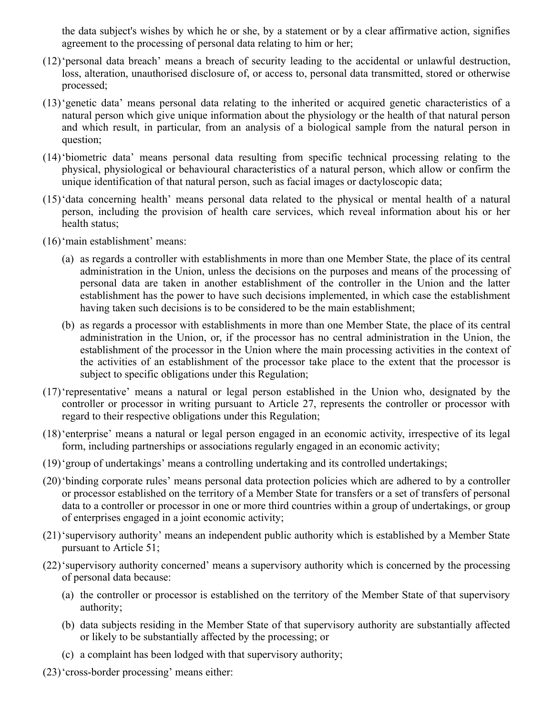the data subject's wishes by which he or she, by a statement or by a clear affirmative action, signifies agreement to the processing of personal data relating to him or her;

- (12)'personal data breach' means a breach of security leading to the accidental or unlawful destruction, loss, alteration, unauthorised disclosure of, or access to, personal data transmitted, stored or otherwise processed;
- (13)'genetic data' means personal data relating to the inherited or acquired genetic characteristics of a natural person which give unique information about the physiology or the health of that natural person and which result, in particular, from an analysis of a biological sample from the natural person in question;
- (14)'biometric data' means personal data resulting from specific technical processing relating to the physical, physiological or behavioural characteristics of a natural person, which allow or confirm the unique identification of that natural person, such as facial images or dactyloscopic data;
- (15)'data concerning health' means personal data related to the physical or mental health of a natural person, including the provision of health care services, which reveal information about his or her health status;
- (16)'main establishment' means:
	- (a) as regards a controller with establishments in more than one Member State, the place of its central administration in the Union, unless the decisions on the purposes and means of the processing of personal data are taken in another establishment of the controller in the Union and the latter establishment has the power to have such decisions implemented, in which case the establishment having taken such decisions is to be considered to be the main establishment;
	- (b) as regards a processor with establishments in more than one Member State, the place of its central administration in the Union, or, if the processor has no central administration in the Union, the establishment of the processor in the Union where the main processing activities in the context of the activities of an establishment of the processor take place to the extent that the processor is subject to specific obligations under this Regulation;
- (17)'representative' means a natural or legal person established in the Union who, designated by the controller or processor in writing pursuant to Article 27, represents the controller or processor with regard to their respective obligations under this Regulation;
- (18)'enterprise' means a natural or legal person engaged in an economic activity, irrespective of its legal form, including partnerships or associations regularly engaged in an economic activity;
- (19)'group of undertakings' means a controlling undertaking and its controlled undertakings;
- (20)'binding corporate rules' means personal data protection policies which are adhered to by a controller or processor established on the territory of a Member State for transfers or a set of transfers of personal data to a controller or processor in one or more third countries within a group of undertakings, or group of enterprises engaged in a joint economic activity;
- (21)'supervisory authority' means an independent public authority which is established by a Member State pursuant to Article 51;
- (22)'supervisory authority concerned' means a supervisory authority which is concerned by the processing of personal data because:
	- (a) the controller or processor is established on the territory of the Member State of that supervisory authority;
	- (b) data subjects residing in the Member State of that supervisory authority are substantially affected or likely to be substantially affected by the processing; or
	- (c) a complaint has been lodged with that supervisory authority;

 $(23)$  'cross-border processing' means either: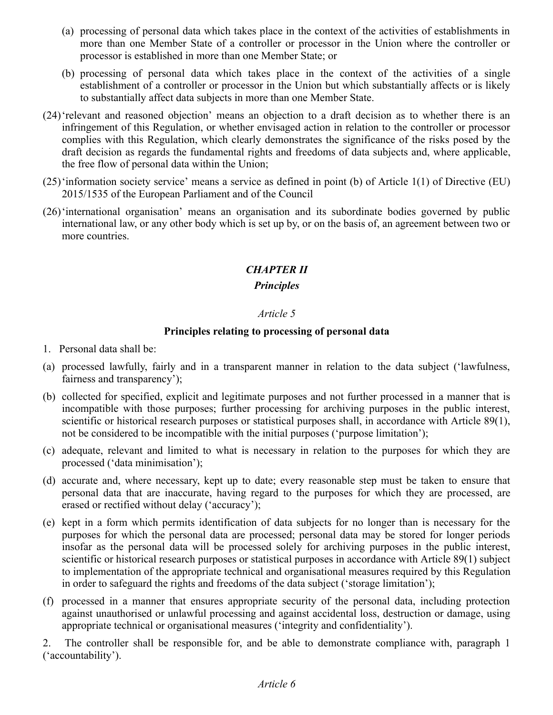- (a) processing of personal data which takes place in the context of the activities of establishments in more than one Member State of a controller or processor in the Union where the controller or processor is established in more than one Member State; or
- (b) processing of personal data which takes place in the context of the activities of a single establishment of a controller or processor in the Union but which substantially affects or is likely to substantially affect data subjects in more than one Member State.
- (24)'relevant and reasoned objection' means an objection to a draft decision as to whether there is an infringement of this Regulation, or whether envisaged action in relation to the controller or processor complies with this Regulation, which clearly demonstrates the significance of the risks posed by the draft decision as regards the fundamental rights and freedoms of data subjects and, where applicable, the free flow of personal data within the Union;
- (25)'information society service' means a service as defined in point (b) of Article 1(1) of Directive (EU) 2015/1535 of the European Parliament and of the Council
- (26)'international organisation' means an organisation and its subordinate bodies governed by public international law, or any other body which is set up by, or on the basis of, an agreement between two or more countries.

# *CHAPTER II*

## *Principles*

## *Article 5*

## **Principles relating to processing of personal data**

- 1. Personal data shall be:
- (a) processed lawfully, fairly and in a transparent manner in relation to the data subject ('lawfulness, fairness and transparency');
- (b) collected for specified, explicit and legitimate purposes and not further processed in a manner that is incompatible with those purposes; further processing for archiving purposes in the public interest, scientific or historical research purposes or statistical purposes shall, in accordance with Article 89(1), not be considered to be incompatible with the initial purposes ('purpose limitation');
- (c) adequate, relevant and limited to what is necessary in relation to the purposes for which they are processed ('data minimisation');
- (d) accurate and, where necessary, kept up to date; every reasonable step must be taken to ensure that personal data that are inaccurate, having regard to the purposes for which they are processed, are erased or rectified without delay ('accuracy');
- (e) kept in a form which permits identification of data subjects for no longer than is necessary for the purposes for which the personal data are processed; personal data may be stored for longer periods insofar as the personal data will be processed solely for archiving purposes in the public interest, scientific or historical research purposes or statistical purposes in accordance with Article 89(1) subject to implementation of the appropriate technical and organisational measures required by this Regulation in order to safeguard the rights and freedoms of the data subject ('storage limitation');
- (f) processed in a manner that ensures appropriate security of the personal data, including protection against unauthorised or unlawful processing and against accidental loss, destruction or damage, using appropriate technical or organisational measures ('integrity and confidentiality').

2. The controller shall be responsible for, and be able to demonstrate compliance with, paragraph 1 ('accountability').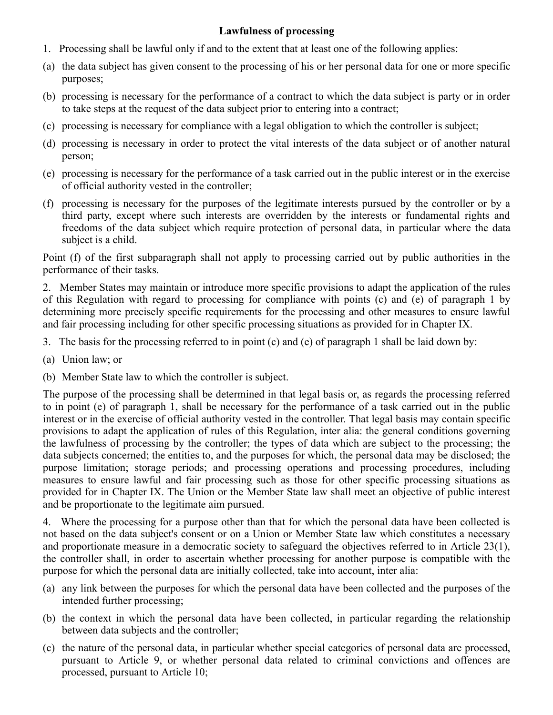## **Lawfulness of processing**

- 1. Processing shall be lawful only if and to the extent that at least one of the following applies:
- (a) the data subject has given consent to the processing of his or her personal data for one or more specific purposes;
- (b) processing is necessary for the performance of a contract to which the data subject is party or in order to take steps at the request of the data subject prior to entering into a contract;
- (c) processing is necessary for compliance with a legal obligation to which the controller is subject;
- (d) processing is necessary in order to protect the vital interests of the data subject or of another natural person;
- (e) processing is necessary for the performance of a task carried out in the public interest or in the exercise of official authority vested in the controller;
- (f) processing is necessary for the purposes of the legitimate interests pursued by the controller or by a third party, except where such interests are overridden by the interests or fundamental rights and freedoms of the data subject which require protection of personal data, in particular where the data subject is a child.

Point (f) of the first subparagraph shall not apply to processing carried out by public authorities in the performance of their tasks.

2. Member States may maintain or introduce more specific provisions to adapt the application of the rules of this Regulation with regard to processing for compliance with points (c) and (e) of paragraph 1 by determining more precisely specific requirements for the processing and other measures to ensure lawful and fair processing including for other specific processing situations as provided for in Chapter IX.

- 3. The basis for the processing referred to in point (c) and (e) of paragraph 1 shall be laid down by:
- (a) Union law; or
- (b) Member State law to which the controller is subject.

The purpose of the processing shall be determined in that legal basis or, as regards the processing referred to in point (e) of paragraph 1, shall be necessary for the performance of a task carried out in the public interest or in the exercise of official authority vested in the controller. That legal basis may contain specific provisions to adapt the application of rules of this Regulation, inter alia: the general conditions governing the lawfulness of processing by the controller; the types of data which are subject to the processing; the data subjects concerned; the entities to, and the purposes for which, the personal data may be disclosed; the purpose limitation; storage periods; and processing operations and processing procedures, including measures to ensure lawful and fair processing such as those for other specific processing situations as provided for in Chapter IX. The Union or the Member State law shall meet an objective of public interest and be proportionate to the legitimate aim pursued.

4. Where the processing for a purpose other than that for which the personal data have been collected is not based on the data subject's consent or on a Union or Member State law which constitutes a necessary and proportionate measure in a democratic society to safeguard the objectives referred to in Article 23(1), the controller shall, in order to ascertain whether processing for another purpose is compatible with the purpose for which the personal data are initially collected, take into account, inter alia:

- (a) any link between the purposes for which the personal data have been collected and the purposes of the intended further processing;
- (b) the context in which the personal data have been collected, in particular regarding the relationship between data subjects and the controller;
- (c) the nature of the personal data, in particular whether special categories of personal data are processed, pursuant to Article 9, or whether personal data related to criminal convictions and offences are processed, pursuant to Article 10;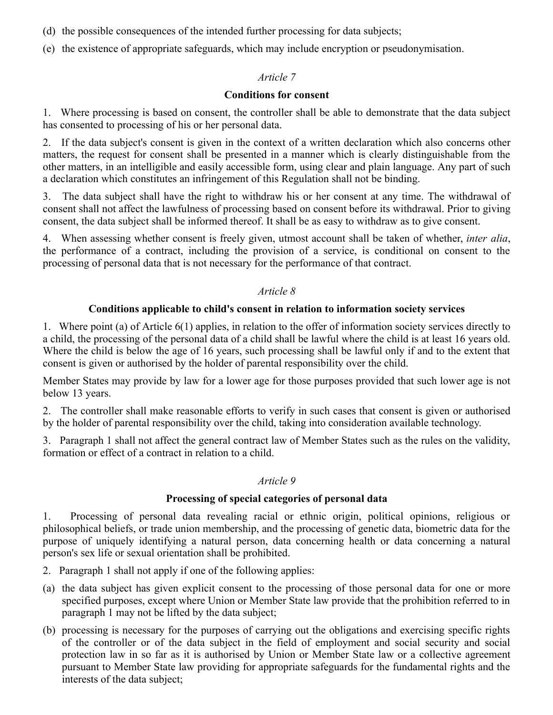- (d) the possible consequences of the intended further processing for data subjects;
- (e) the existence of appropriate safeguards, which may include encryption or pseudonymisation.

## *Article 7*

## **Conditions for consent**

1. Where processing is based on consent, the controller shall be able to demonstrate that the data subject has consented to processing of his or her personal data.

2. If the data subject's consent is given in the context of a written declaration which also concerns other matters, the request for consent shall be presented in a manner which is clearly distinguishable from the other matters, in an intelligible and easily accessible form, using clear and plain language. Any part of such a declaration which constitutes an infringement of this Regulation shall not be binding.

3. The data subject shall have the right to withdraw his or her consent at any time. The withdrawal of consent shall not affect the lawfulness of processing based on consent before its withdrawal. Prior to giving consent, the data subject shall be informed thereof. It shall be as easy to withdraw as to give consent.

4. When assessing whether consent is freely given, utmost account shall be taken of whether, *inter alia*, the performance of a contract, including the provision of a service, is conditional on consent to the processing of personal data that is not necessary for the performance of that contract.

## *Article 8*

## **Conditions applicable to child's consent in relation to information society services**

1. Where point (a) of Article 6(1) applies, in relation to the offer of information society services directly to a child, the processing of the personal data of a child shall be lawful where the child is at least 16 years old. Where the child is below the age of 16 years, such processing shall be lawful only if and to the extent that consent is given or authorised by the holder of parental responsibility over the child.

Member States may provide by law for a lower age for those purposes provided that such lower age is not below 13 years.

2. The controller shall make reasonable efforts to verify in such cases that consent is given or authorised by the holder of parental responsibility over the child, taking into consideration available technology.

3. Paragraph 1 shall not affect the general contract law of Member States such as the rules on the validity, formation or effect of a contract in relation to a child.

## *Article 9*

## **Processing of special categories of personal data**

1. Processing of personal data revealing racial or ethnic origin, political opinions, religious or philosophical beliefs, or trade union membership, and the processing of genetic data, biometric data for the purpose of uniquely identifying a natural person, data concerning health or data concerning a natural person's sex life or sexual orientation shall be prohibited.

- 2. Paragraph 1 shall not apply if one of the following applies:
- (a) the data subject has given explicit consent to the processing of those personal data for one or more specified purposes, except where Union or Member State law provide that the prohibition referred to in paragraph 1 may not be lifted by the data subject;
- (b) processing is necessary for the purposes of carrying out the obligations and exercising specific rights of the controller or of the data subject in the field of employment and social security and social protection law in so far as it is authorised by Union or Member State law or a collective agreement pursuant to Member State law providing for appropriate safeguards for the fundamental rights and the interests of the data subject;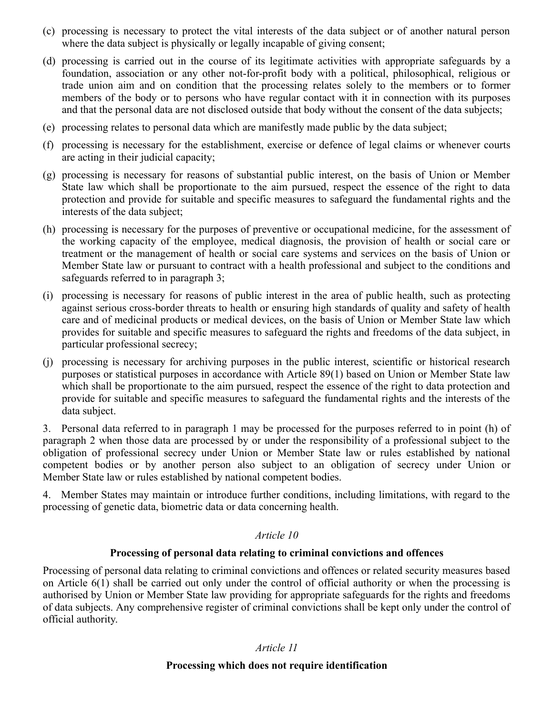- (c) processing is necessary to protect the vital interests of the data subject or of another natural person where the data subject is physically or legally incapable of giving consent;
- (d) processing is carried out in the course of its legitimate activities with appropriate safeguards by a foundation, association or any other not-for-profit body with a political, philosophical, religious or trade union aim and on condition that the processing relates solely to the members or to former members of the body or to persons who have regular contact with it in connection with its purposes and that the personal data are not disclosed outside that body without the consent of the data subjects;
- (e) processing relates to personal data which are manifestly made public by the data subject;
- (f) processing is necessary for the establishment, exercise or defence of legal claims or whenever courts are acting in their judicial capacity;
- (g) processing is necessary for reasons of substantial public interest, on the basis of Union or Member State law which shall be proportionate to the aim pursued, respect the essence of the right to data protection and provide for suitable and specific measures to safeguard the fundamental rights and the interests of the data subject;
- (h) processing is necessary for the purposes of preventive or occupational medicine, for the assessment of the working capacity of the employee, medical diagnosis, the provision of health or social care or treatment or the management of health or social care systems and services on the basis of Union or Member State law or pursuant to contract with a health professional and subject to the conditions and safeguards referred to in paragraph 3;
- (i) processing is necessary for reasons of public interest in the area of public health, such as protecting against serious cross-border threats to health or ensuring high standards of quality and safety of health care and of medicinal products or medical devices, on the basis of Union or Member State law which provides for suitable and specific measures to safeguard the rights and freedoms of the data subject, in particular professional secrecy;
- (j) processing is necessary for archiving purposes in the public interest, scientific or historical research purposes or statistical purposes in accordance with Article 89(1) based on Union or Member State law which shall be proportionate to the aim pursued, respect the essence of the right to data protection and provide for suitable and specific measures to safeguard the fundamental rights and the interests of the data subject.

3. Personal data referred to in paragraph 1 may be processed for the purposes referred to in point (h) of paragraph 2 when those data are processed by or under the responsibility of a professional subject to the obligation of professional secrecy under Union or Member State law or rules established by national competent bodies or by another person also subject to an obligation of secrecy under Union or Member State law or rules established by national competent bodies.

4. Member States may maintain or introduce further conditions, including limitations, with regard to the processing of genetic data, biometric data or data concerning health.

#### *Article 10*

#### **Processing of personal data relating to criminal convictions and offences**

Processing of personal data relating to criminal convictions and offences or related security measures based on Article 6(1) shall be carried out only under the control of official authority or when the processing is authorised by Union or Member State law providing for appropriate safeguards for the rights and freedoms of data subjects. Any comprehensive register of criminal convictions shall be kept only under the control of official authority.

#### *Article 11*

#### **Processing which does not require identification**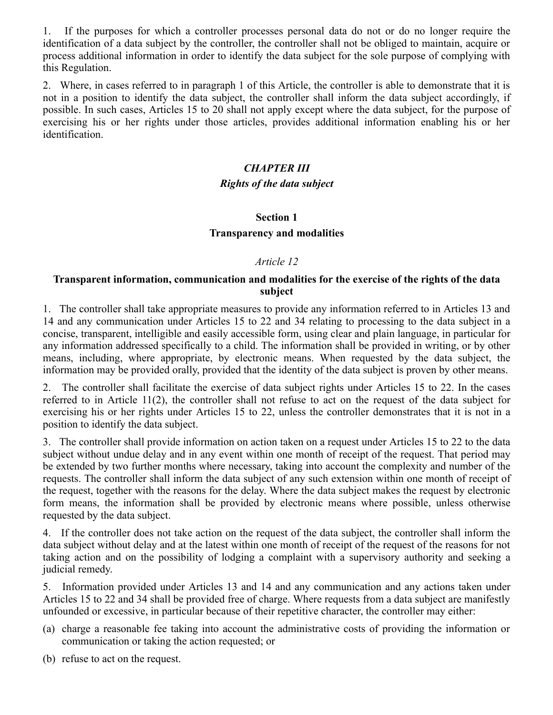1. If the purposes for which a controller processes personal data do not or do no longer require the identification of a data subject by the controller, the controller shall not be obliged to maintain, acquire or process additional information in order to identify the data subject for the sole purpose of complying with this Regulation.

2. Where, in cases referred to in paragraph 1 of this Article, the controller is able to demonstrate that it is not in a position to identify the data subject, the controller shall inform the data subject accordingly, if possible. In such cases, Articles 15 to 20 shall not apply except where the data subject, for the purpose of exercising his or her rights under those articles, provides additional information enabling his or her identification.

## *CHAPTER III*

#### *Rights of the data subject*

## **Section 1 Transparency and modalities**

#### *Article 12*

#### **Transparent information, communication and modalities for the exercise of the rights of the data subject**

1. The controller shall take appropriate measures to provide any information referred to in Articles 13 and 14 and any communication under Articles 15 to 22 and 34 relating to processing to the data subject in a concise, transparent, intelligible and easily accessible form, using clear and plain language, in particular for any information addressed specifically to a child. The information shall be provided in writing, or by other means, including, where appropriate, by electronic means. When requested by the data subject, the information may be provided orally, provided that the identity of the data subject is proven by other means.

2. The controller shall facilitate the exercise of data subject rights under Articles 15 to 22. In the cases referred to in Article  $11(2)$ , the controller shall not refuse to act on the request of the data subject for exercising his or her rights under Articles 15 to 22, unless the controller demonstrates that it is not in a position to identify the data subject.

3. The controller shall provide information on action taken on a request under Articles 15 to 22 to the data subject without undue delay and in any event within one month of receipt of the request. That period may be extended by two further months where necessary, taking into account the complexity and number of the requests. The controller shall inform the data subject of any such extension within one month of receipt of the request, together with the reasons for the delay. Where the data subject makes the request by electronic form means, the information shall be provided by electronic means where possible, unless otherwise requested by the data subject.

4. If the controller does not take action on the request of the data subject, the controller shall inform the data subject without delay and at the latest within one month of receipt of the request of the reasons for not taking action and on the possibility of lodging a complaint with a supervisory authority and seeking a judicial remedy.

5. Information provided under Articles 13 and 14 and any communication and any actions taken under Articles 15 to 22 and 34 shall be provided free of charge. Where requests from a data subject are manifestly unfounded or excessive, in particular because of their repetitive character, the controller may either:

- (a) charge a reasonable fee taking into account the administrative costs of providing the information or communication or taking the action requested; or
- (b) refuse to act on the request.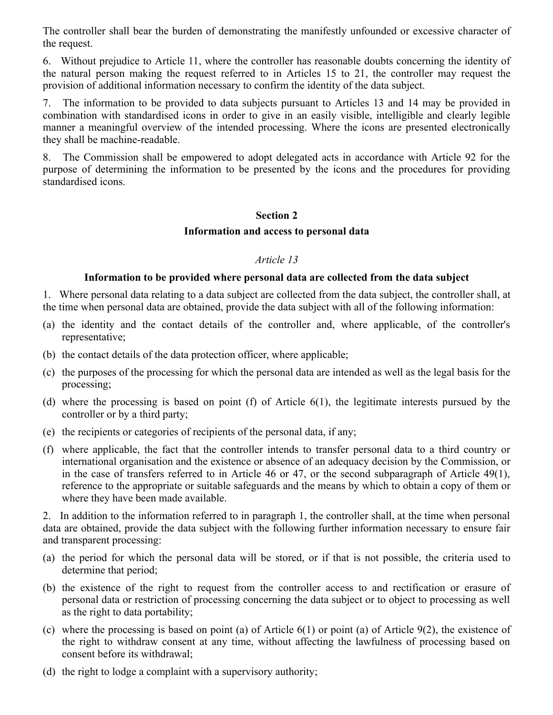The controller shall bear the burden of demonstrating the manifestly unfounded or excessive character of the request.

6. Without prejudice to Article 11, where the controller has reasonable doubts concerning the identity of the natural person making the request referred to in Articles 15 to 21, the controller may request the provision of additional information necessary to confirm the identity of the data subject.

7. The information to be provided to data subjects pursuant to Articles 13 and 14 may be provided in combination with standardised icons in order to give in an easily visible, intelligible and clearly legible manner a meaningful overview of the intended processing. Where the icons are presented electronically they shall be machine-readable.

8. The Commission shall be empowered to adopt delegated acts in accordance with Article 92 for the purpose of determining the information to be presented by the icons and the procedures for providing standardised icons.

#### **Section 2**

#### **Information and access to personal data**

#### *Article 13*

#### **Information to be provided where personal data are collected from the data subject**

1. Where personal data relating to a data subject are collected from the data subject, the controller shall, at the time when personal data are obtained, provide the data subject with all of the following information:

- (a) the identity and the contact details of the controller and, where applicable, of the controller's representative;
- (b) the contact details of the data protection officer, where applicable;
- (c) the purposes of the processing for which the personal data are intended as well as the legal basis for the processing;
- (d) where the processing is based on point  $(f)$  of Article  $6(1)$ , the legitimate interests pursued by the controller or by a third party;
- (e) the recipients or categories of recipients of the personal data, if any;
- (f) where applicable, the fact that the controller intends to transfer personal data to a third country or international organisation and the existence or absence of an adequacy decision by the Commission, or in the case of transfers referred to in Article 46 or 47, or the second subparagraph of Article 49(1), reference to the appropriate or suitable safeguards and the means by which to obtain a copy of them or where they have been made available.

2. In addition to the information referred to in paragraph 1, the controller shall, at the time when personal data are obtained, provide the data subject with the following further information necessary to ensure fair and transparent processing:

- (a) the period for which the personal data will be stored, or if that is not possible, the criteria used to determine that period;
- (b) the existence of the right to request from the controller access to and rectification or erasure of personal data or restriction of processing concerning the data subject or to object to processing as well as the right to data portability;
- (c) where the processing is based on point (a) of Article 6(1) or point (a) of Article 9(2), the existence of the right to withdraw consent at any time, without affecting the lawfulness of processing based on consent before its withdrawal;
- (d) the right to lodge a complaint with a supervisory authority;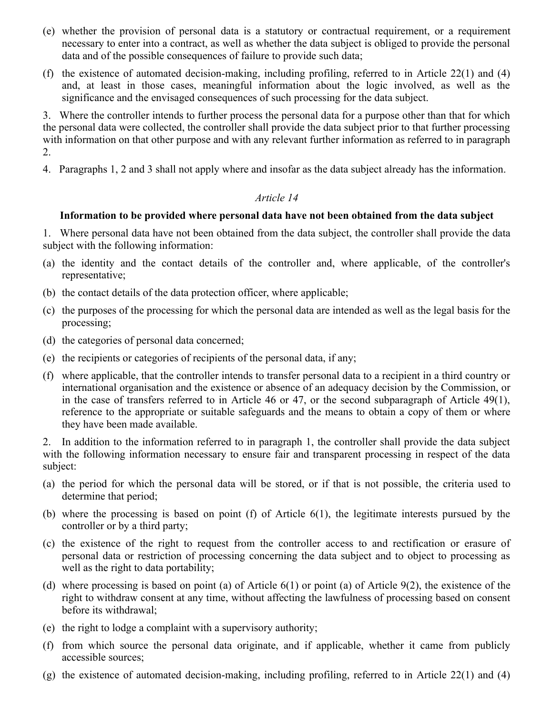- (e) whether the provision of personal data is a statutory or contractual requirement, or a requirement necessary to enter into a contract, as well as whether the data subject is obliged to provide the personal data and of the possible consequences of failure to provide such data;
- (f) the existence of automated decision-making, including profiling, referred to in Article  $22(1)$  and (4) and, at least in those cases, meaningful information about the logic involved, as well as the significance and the envisaged consequences of such processing for the data subject.

3. Where the controller intends to further process the personal data for a purpose other than that for which the personal data were collected, the controller shall provide the data subject prior to that further processing with information on that other purpose and with any relevant further information as referred to in paragraph 2.

4. Paragraphs 1, 2 and 3 shall not apply where and insofar as the data subject already has the information.

## *Article 14*

## **Information to be provided where personal data have not been obtained from the data subject**

1. Where personal data have not been obtained from the data subject, the controller shall provide the data subject with the following information:

- (a) the identity and the contact details of the controller and, where applicable, of the controller's representative;
- (b) the contact details of the data protection officer, where applicable;
- (c) the purposes of the processing for which the personal data are intended as well as the legal basis for the processing;
- (d) the categories of personal data concerned;
- (e) the recipients or categories of recipients of the personal data, if any;
- (f) where applicable, that the controller intends to transfer personal data to a recipient in a third country or international organisation and the existence or absence of an adequacy decision by the Commission, or in the case of transfers referred to in Article 46 or 47, or the second subparagraph of Article 49(1), reference to the appropriate or suitable safeguards and the means to obtain a copy of them or where they have been made available.

2. In addition to the information referred to in paragraph 1, the controller shall provide the data subject with the following information necessary to ensure fair and transparent processing in respect of the data subject:

- (a) the period for which the personal data will be stored, or if that is not possible, the criteria used to determine that period;
- (b) where the processing is based on point  $(f)$  of Article  $6(1)$ , the legitimate interests pursued by the controller or by a third party;
- (c) the existence of the right to request from the controller access to and rectification or erasure of personal data or restriction of processing concerning the data subject and to object to processing as well as the right to data portability;
- (d) where processing is based on point (a) of Article 6(1) or point (a) of Article 9(2), the existence of the right to withdraw consent at any time, without affecting the lawfulness of processing based on consent before its withdrawal;
- (e) the right to lodge a complaint with a supervisory authority;
- (f) from which source the personal data originate, and if applicable, whether it came from publicly accessible sources;
- (g) the existence of automated decision-making, including profiling, referred to in Article  $22(1)$  and (4)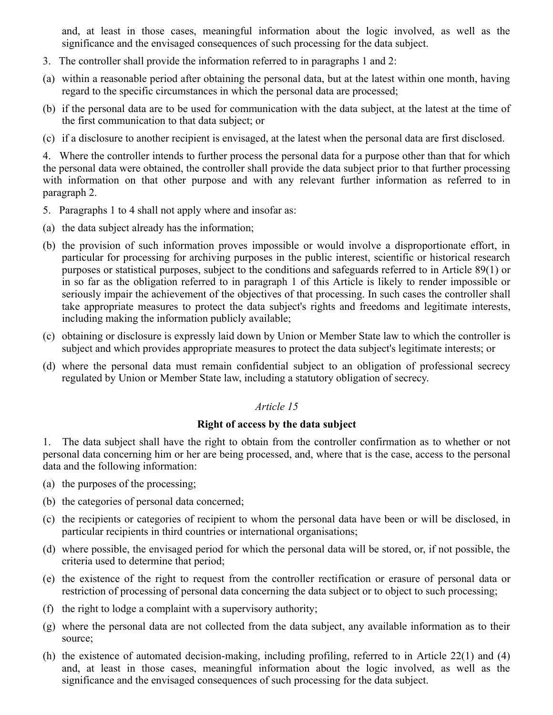and, at least in those cases, meaningful information about the logic involved, as well as the significance and the envisaged consequences of such processing for the data subject.

- 3. The controller shall provide the information referred to in paragraphs 1 and 2:
- (a) within a reasonable period after obtaining the personal data, but at the latest within one month, having regard to the specific circumstances in which the personal data are processed;
- (b) if the personal data are to be used for communication with the data subject, at the latest at the time of the first communication to that data subject; or
- (c) if a disclosure to another recipient is envisaged, at the latest when the personal data are first disclosed.

4. Where the controller intends to further process the personal data for a purpose other than that for which the personal data were obtained, the controller shall provide the data subject prior to that further processing with information on that other purpose and with any relevant further information as referred to in paragraph 2.

- 5. Paragraphs 1 to 4 shall not apply where and insofar as:
- (a) the data subject already has the information;
- (b) the provision of such information proves impossible or would involve a disproportionate effort, in particular for processing for archiving purposes in the public interest, scientific or historical research purposes or statistical purposes, subject to the conditions and safeguards referred to in Article 89(1) or in so far as the obligation referred to in paragraph 1 of this Article is likely to render impossible or seriously impair the achievement of the objectives of that processing. In such cases the controller shall take appropriate measures to protect the data subject's rights and freedoms and legitimate interests, including making the information publicly available;
- (c) obtaining or disclosure is expressly laid down by Union or Member State law to which the controller is subject and which provides appropriate measures to protect the data subject's legitimate interests; or
- (d) where the personal data must remain confidential subject to an obligation of professional secrecy regulated by Union or Member State law, including a statutory obligation of secrecy.

## *Article 15*

## **Right of access by the data subject**

1. The data subject shall have the right to obtain from the controller confirmation as to whether or not personal data concerning him or her are being processed, and, where that is the case, access to the personal data and the following information:

- (a) the purposes of the processing;
- (b) the categories of personal data concerned;
- (c) the recipients or categories of recipient to whom the personal data have been or will be disclosed, in particular recipients in third countries or international organisations;
- (d) where possible, the envisaged period for which the personal data will be stored, or, if not possible, the criteria used to determine that period;
- (e) the existence of the right to request from the controller rectification or erasure of personal data or restriction of processing of personal data concerning the data subject or to object to such processing;
- (f) the right to lodge a complaint with a supervisory authority;
- (g) where the personal data are not collected from the data subject, any available information as to their source;
- (h) the existence of automated decision-making, including profiling, referred to in Article  $22(1)$  and (4) and, at least in those cases, meaningful information about the logic involved, as well as the significance and the envisaged consequences of such processing for the data subject.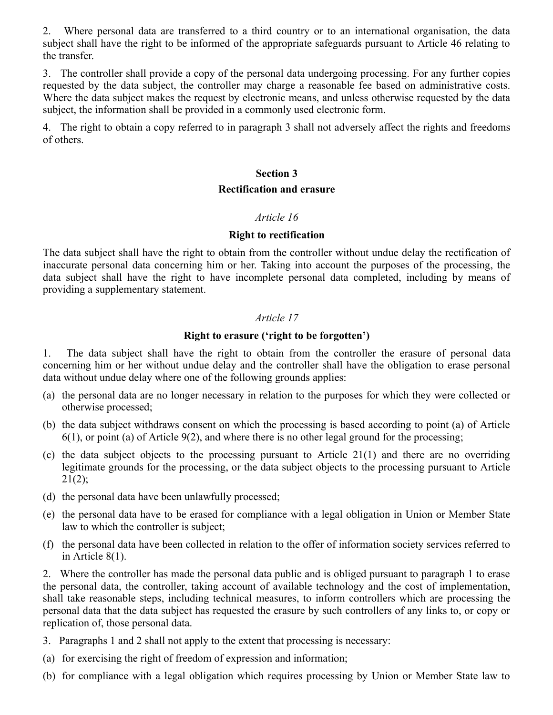2. Where personal data are transferred to a third country or to an international organisation, the data subject shall have the right to be informed of the appropriate safeguards pursuant to Article 46 relating to the transfer.

3. The controller shall provide a copy of the personal data undergoing processing. For any further copies requested by the data subject, the controller may charge a reasonable fee based on administrative costs. Where the data subject makes the request by electronic means, and unless otherwise requested by the data subject, the information shall be provided in a commonly used electronic form.

4. The right to obtain a copy referred to in paragraph 3 shall not adversely affect the rights and freedoms of others.

## **Section 3 Rectification and erasure**

#### *Article 16*

#### **Right to rectification**

The data subject shall have the right to obtain from the controller without undue delay the rectification of inaccurate personal data concerning him or her. Taking into account the purposes of the processing, the data subject shall have the right to have incomplete personal data completed, including by means of providing a supplementary statement.

#### *Article 17*

#### **Right to erasure ('right to be forgotten')**

1. The data subject shall have the right to obtain from the controller the erasure of personal data concerning him or her without undue delay and the controller shall have the obligation to erase personal data without undue delay where one of the following grounds applies:

- (a) the personal data are no longer necessary in relation to the purposes for which they were collected or otherwise processed;
- (b) the data subject withdraws consent on which the processing is based according to point (a) of Article 6(1), or point (a) of Article 9(2), and where there is no other legal ground for the processing;
- (c) the data subject objects to the processing pursuant to Article  $21(1)$  and there are no overriding legitimate grounds for the processing, or the data subject objects to the processing pursuant to Article  $21(2);$
- (d) the personal data have been unlawfully processed;
- (e) the personal data have to be erased for compliance with a legal obligation in Union or Member State law to which the controller is subject;
- (f) the personal data have been collected in relation to the offer of information society services referred to in Article 8(1).

2. Where the controller has made the personal data public and is obliged pursuant to paragraph 1 to erase the personal data, the controller, taking account of available technology and the cost of implementation, shall take reasonable steps, including technical measures, to inform controllers which are processing the personal data that the data subject has requested the erasure by such controllers of any links to, or copy or replication of, those personal data.

- 3. Paragraphs 1 and 2 shall not apply to the extent that processing is necessary:
- (a) for exercising the right of freedom of expression and information;
- (b) for compliance with a legal obligation which requires processing by Union or Member State law to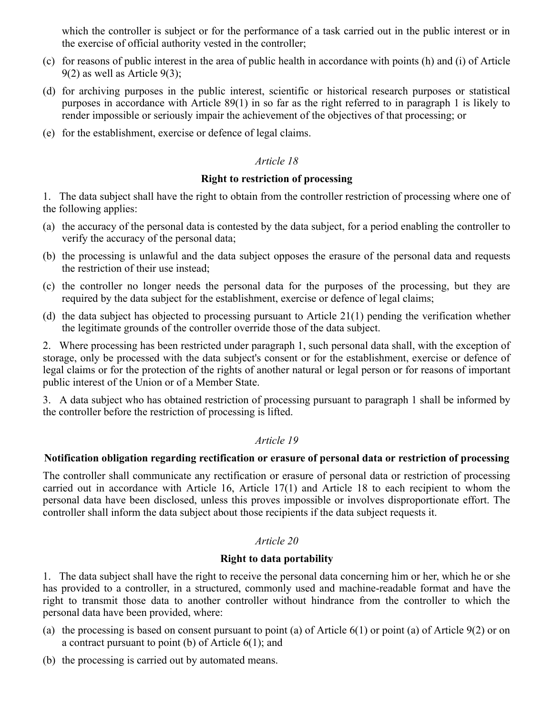which the controller is subject or for the performance of a task carried out in the public interest or in the exercise of official authority vested in the controller;

- (c) for reasons of public interest in the area of public health in accordance with points (h) and (i) of Article  $9(2)$  as well as Article  $9(3)$ ;
- (d) for archiving purposes in the public interest, scientific or historical research purposes or statistical purposes in accordance with Article 89(1) in so far as the right referred to in paragraph 1 is likely to render impossible or seriously impair the achievement of the objectives of that processing; or
- (e) for the establishment, exercise or defence of legal claims.

### *Article 18*

#### **Right to restriction of processing**

1. The data subject shall have the right to obtain from the controller restriction of processing where one of the following applies:

- (a) the accuracy of the personal data is contested by the data subject, for a period enabling the controller to verify the accuracy of the personal data;
- (b) the processing is unlawful and the data subject opposes the erasure of the personal data and requests the restriction of their use instead;
- (c) the controller no longer needs the personal data for the purposes of the processing, but they are required by the data subject for the establishment, exercise or defence of legal claims;
- (d) the data subject has objected to processing pursuant to Article 21(1) pending the verification whether the legitimate grounds of the controller override those of the data subject.

2. Where processing has been restricted under paragraph 1, such personal data shall, with the exception of storage, only be processed with the data subject's consent or for the establishment, exercise or defence of legal claims or for the protection of the rights of another natural or legal person or for reasons of important public interest of the Union or of a Member State.

3. A data subject who has obtained restriction of processing pursuant to paragraph 1 shall be informed by the controller before the restriction of processing is lifted.

#### *Article 19*

#### **Notification obligation regarding rectification or erasure of personal data or restriction of processing**

The controller shall communicate any rectification or erasure of personal data or restriction of processing carried out in accordance with Article 16, Article 17(1) and Article 18 to each recipient to whom the personal data have been disclosed, unless this proves impossible or involves disproportionate effort. The controller shall inform the data subject about those recipients if the data subject requests it.

## *Article 20*

#### **Right to data portability**

1. The data subject shall have the right to receive the personal data concerning him or her, which he or she has provided to a controller, in a structured, commonly used and machine-readable format and have the right to transmit those data to another controller without hindrance from the controller to which the personal data have been provided, where:

- (a) the processing is based on consent pursuant to point (a) of Article 6(1) or point (a) of Article 9(2) or on a contract pursuant to point (b) of Article 6(1); and
- (b) the processing is carried out by automated means.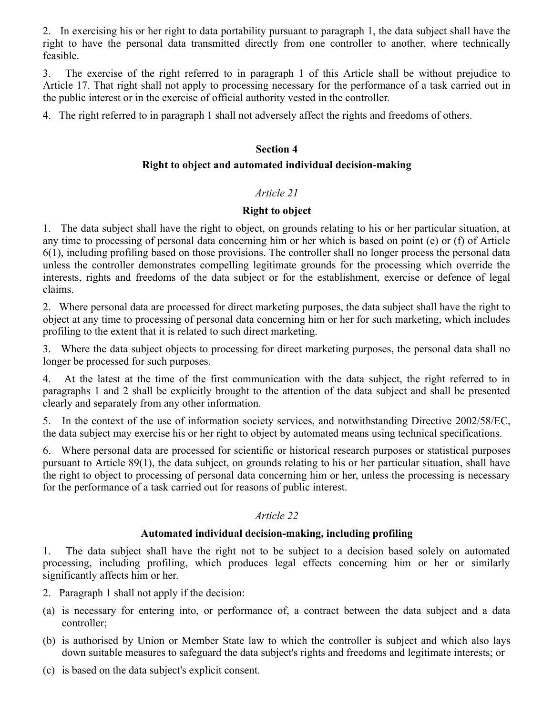2. In exercising his or her right to data portability pursuant to paragraph 1, the data subject shall have the right to have the personal data transmitted directly from one controller to another, where technically feasible.

3. The exercise of the right referred to in paragraph 1 of this Article shall be without prejudice to Article 17. That right shall not apply to processing necessary for the performance of a task carried out in the public interest or in the exercise of official authority vested in the controller.

4. The right referred to in paragraph 1 shall not adversely affect the rights and freedoms of others.

### **Section 4**

### **Right to object and automated individual decision-making**

## *Article 21*

## **Right to object**

1. The data subject shall have the right to object, on grounds relating to his or her particular situation, at any time to processing of personal data concerning him or her which is based on point (e) or (f) of Article 6(1), including profiling based on those provisions. The controller shall no longer process the personal data unless the controller demonstrates compelling legitimate grounds for the processing which override the interests, rights and freedoms of the data subject or for the establishment, exercise or defence of legal claims.

2. Where personal data are processed for direct marketing purposes, the data subject shall have the right to object at any time to processing of personal data concerning him or her for such marketing, which includes profiling to the extent that it is related to such direct marketing.

3. Where the data subject objects to processing for direct marketing purposes, the personal data shall no longer be processed for such purposes.

4. At the latest at the time of the first communication with the data subject, the right referred to in paragraphs 1 and 2 shall be explicitly brought to the attention of the data subject and shall be presented clearly and separately from any other information.

5. In the context of the use of information society services, and notwithstanding Directive 2002/58/EC, the data subject may exercise his or her right to object by automated means using technical specifications.

6. Where personal data are processed for scientific or historical research purposes or statistical purposes pursuant to Article 89(1), the data subject, on grounds relating to his or her particular situation, shall have the right to object to processing of personal data concerning him or her, unless the processing is necessary for the performance of a task carried out for reasons of public interest.

## *Article 22*

## Automated individual decision-making, including profiling

1. The data subject shall have the right not to be subject to a decision based solely on automated processing, including profiling, which produces legal effects concerning him or her or similarly significantly affects him or her.

- 2. Paragraph 1 shall not apply if the decision:
- (a) is necessary for entering into, or performance of, a contract between the data subject and a data controller;
- (b) is authorised by Union or Member State law to which the controller is subject and which also lays down suitable measures to safeguard the data subject's rights and freedoms and legitimate interests; or
- (c) is based on the data subject's explicit consent.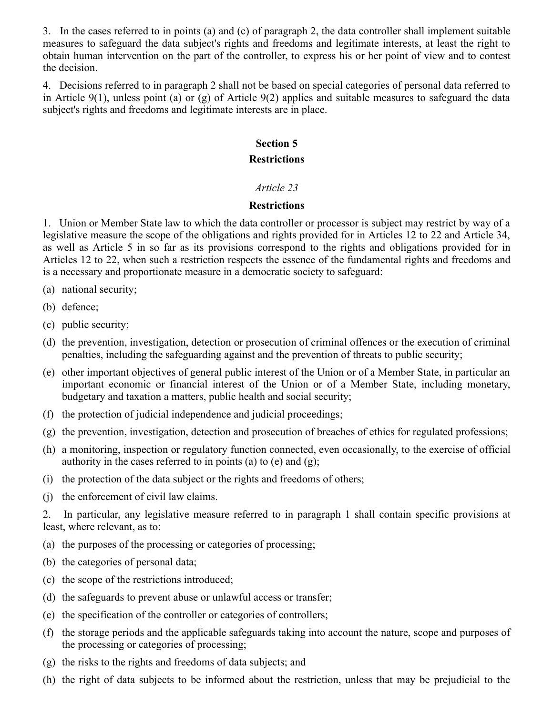3. In the cases referred to in points (a) and (c) of paragraph 2, the data controller shall implement suitable measures to safeguard the data subject's rights and freedoms and legitimate interests, at least the right to obtain human intervention on the part of the controller, to express his or her point of view and to contest the decision.

4. Decisions referred to in paragraph 2 shall not be based on special categories of personal data referred to in Article 9(1), unless point (a) or (g) of Article 9(2) applies and suitable measures to safeguard the data subject's rights and freedoms and legitimate interests are in place.

#### **Section 5**

#### **Restrictions**

## *Article 23*

## **Restrictions**

1. Union or Member State law to which the data controller or processor is subject may restrict by way of a legislative measure the scope of the obligations and rights provided for in Articles 12 to 22 and Article 34, as well as Article 5 in so far as its provisions correspond to the rights and obligations provided for in Articles 12 to 22, when such a restriction respects the essence of the fundamental rights and freedoms and is a necessary and proportionate measure in a democratic society to safeguard:

- (a) national security;
- (b) defence;
- (c) public security;
- (d) the prevention, investigation, detection or prosecution of criminal offences or the execution of criminal penalties, including the safeguarding against and the prevention of threats to public security;
- (e) other important objectives of general public interest of the Union or of a Member State, in particular an important economic or financial interest of the Union or of a Member State, including monetary, budgetary and taxation a matters, public health and social security;
- (f) the protection of judicial independence and judicial proceedings;
- (g) the prevention, investigation, detection and prosecution of breaches of ethics for regulated professions;
- (h) a monitoring, inspection or regulatory function connected, even occasionally, to the exercise of official authority in the cases referred to in points (a) to (e) and (g);
- (i) the protection of the data subject or the rights and freedoms of others;
- (j) the enforcement of civil law claims.

2. In particular, any legislative measure referred to in paragraph 1 shall contain specific provisions at least, where relevant, as to:

- (a) the purposes of the processing or categories of processing;
- (b) the categories of personal data;
- (c) the scope of the restrictions introduced;
- (d) the safeguards to prevent abuse or unlawful access or transfer;
- (e) the specification of the controller or categories of controllers;
- (f) the storage periods and the applicable safeguards taking into account the nature, scope and purposes of the processing or categories of processing;
- (g) the risks to the rights and freedoms of data subjects; and
- (h) the right of data subjects to be informed about the restriction, unless that may be prejudicial to the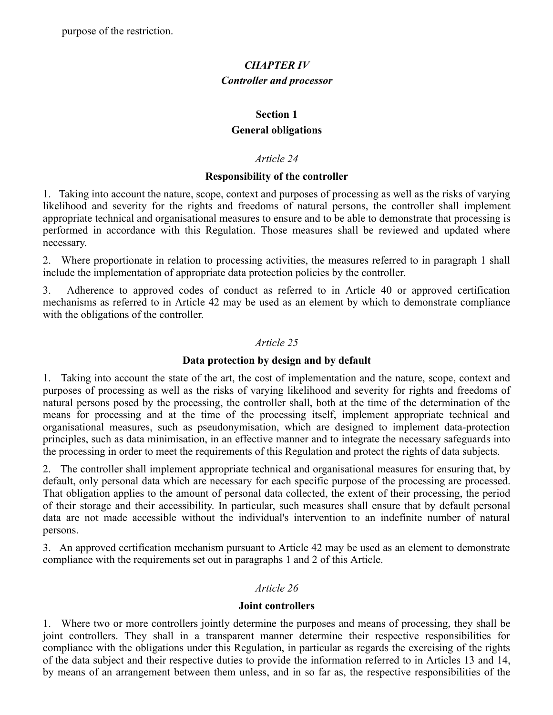purpose of the restriction.

# *CHAPTER IV Controller and processor*

## **Section 1 General obligations**

### *Article 24*

#### **Responsibility of the controller**

1. Taking into account the nature, scope, context and purposes of processing as well as the risks of varying likelihood and severity for the rights and freedoms of natural persons, the controller shall implement appropriate technical and organisational measures to ensure and to be able to demonstrate that processing is performed in accordance with this Regulation. Those measures shall be reviewed and updated where necessary.

2. Where proportionate in relation to processing activities, the measures referred to in paragraph 1 shall include the implementation of appropriate data protection policies by the controller.

3. Adherence to approved codes of conduct as referred to in Article 40 or approved certification mechanisms as referred to in Article 42 may be used as an element by which to demonstrate compliance with the obligations of the controller.

#### *Article 25*

## **Data protection by design and by default**

1. Taking into account the state of the art, the cost of implementation and the nature, scope, context and purposes of processing as well as the risks of varying likelihood and severity for rights and freedoms of natural persons posed by the processing, the controller shall, both at the time of the determination of the means for processing and at the time of the processing itself, implement appropriate technical and organisational measures, such as pseudonymisation, which are designed to implement dataprotection principles, such as data minimisation, in an effective manner and to integrate the necessary safeguards into the processing in order to meet the requirements of this Regulation and protect the rights of data subjects.

2. The controller shall implement appropriate technical and organisational measures for ensuring that, by default, only personal data which are necessary for each specific purpose of the processing are processed. That obligation applies to the amount of personal data collected, the extent of their processing, the period of their storage and their accessibility. In particular, such measures shall ensure that by default personal data are not made accessible without the individual's intervention to an indefinite number of natural persons.

3. An approved certification mechanism pursuant to Article 42 may be used as an element to demonstrate compliance with the requirements set out in paragraphs 1 and 2 of this Article.

## *Article 26*

#### **Joint controllers**

1. Where two or more controllers jointly determine the purposes and means of processing, they shall be joint controllers. They shall in a transparent manner determine their respective responsibilities for compliance with the obligations under this Regulation, in particular as regards the exercising of the rights of the data subject and their respective duties to provide the information referred to in Articles 13 and 14, by means of an arrangement between them unless, and in so far as, the respective responsibilities of the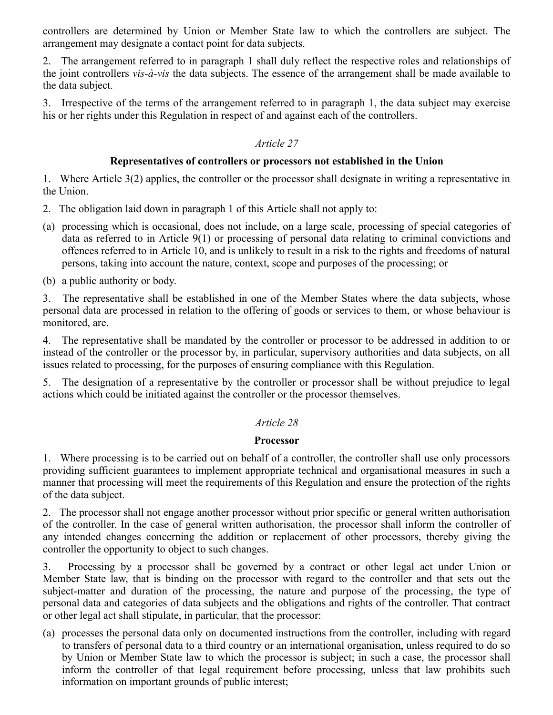controllers are determined by Union or Member State law to which the controllers are subject. The arrangement may designate a contact point for data subjects.

2. The arrangement referred to in paragraph 1 shall duly reflect the respective roles and relationships of the joint controllers *vis-à-vis* the data subjects. The essence of the arrangement shall be made available to the data subject.

3. Irrespective of the terms of the arrangement referred to in paragraph 1, the data subject may exercise his or her rights under this Regulation in respect of and against each of the controllers.

### *Article 27*

### **Representatives of controllers or processors not established in the Union**

1. Where Article 3(2) applies, the controller or the processor shall designate in writing a representative in the Union.

2. The obligation laid down in paragraph 1 of this Article shall not apply to:

(a) processing which is occasional, does not include, on a large scale, processing of special categories of data as referred to in Article 9(1) or processing of personal data relating to criminal convictions and offences referred to in Article 10, and is unlikely to result in a risk to the rights and freedoms of natural persons, taking into account the nature, context, scope and purposes of the processing; or

(b) a public authority or body.

3. The representative shall be established in one of the Member States where the data subjects, whose personal data are processed in relation to the offering of goods or services to them, or whose behaviour is monitored, are.

4. The representative shall be mandated by the controller or processor to be addressed in addition to or instead of the controller or the processor by, in particular, supervisory authorities and data subjects, on all issues related to processing, for the purposes of ensuring compliance with this Regulation.

5. The designation of a representative by the controller or processor shall be without prejudice to legal actions which could be initiated against the controller or the processor themselves.

## *Article 28*

#### **Processor**

1. Where processing is to be carried out on behalf of a controller, the controller shall use only processors providing sufficient guarantees to implement appropriate technical and organisational measures in such a manner that processing will meet the requirements of this Regulation and ensure the protection of the rights of the data subject.

2. The processor shall not engage another processor without prior specific or general written authorisation of the controller. In the case of general written authorisation, the processor shall inform the controller of any intended changes concerning the addition or replacement of other processors, thereby giving the controller the opportunity to object to such changes.

3. Processing by a processor shall be governed by a contract or other legal act under Union or Member State law, that is binding on the processor with regard to the controller and that sets out the subject-matter and duration of the processing, the nature and purpose of the processing, the type of personal data and categories of data subjects and the obligations and rights of the controller. That contract or other legal act shall stipulate, in particular, that the processor:

(a) processes the personal data only on documented instructions from the controller, including with regard to transfers of personal data to a third country or an international organisation, unless required to do so by Union or Member State law to which the processor is subject; in such a case, the processor shall inform the controller of that legal requirement before processing, unless that law prohibits such information on important grounds of public interest;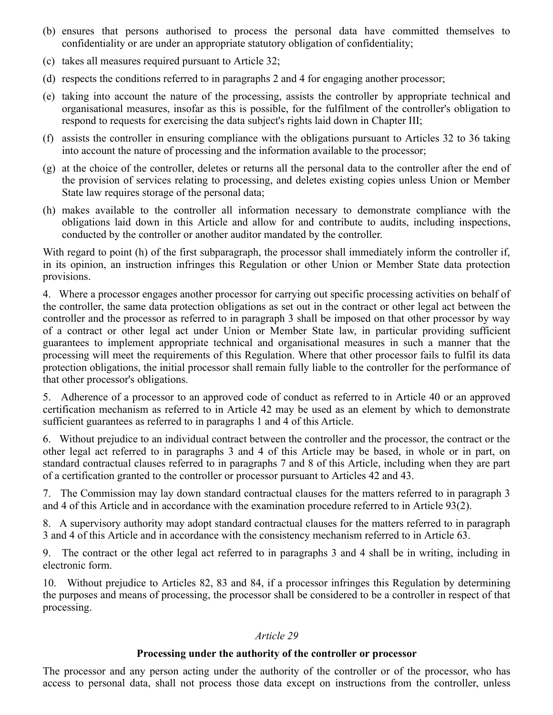- (b) ensures that persons authorised to process the personal data have committed themselves to confidentiality or are under an appropriate statutory obligation of confidentiality;
- (c) takes all measures required pursuant to Article 32;
- (d) respects the conditions referred to in paragraphs 2 and 4 for engaging another processor;
- (e) taking into account the nature of the processing, assists the controller by appropriate technical and organisational measures, insofar as this is possible, for the fulfilment of the controller's obligation to respond to requests for exercising the data subject's rights laid down in Chapter III;
- (f) assists the controller in ensuring compliance with the obligations pursuant to Articles 32 to 36 taking into account the nature of processing and the information available to the processor;
- (g) at the choice of the controller, deletes or returns all the personal data to the controller after the end of the provision of services relating to processing, and deletes existing copies unless Union or Member State law requires storage of the personal data;
- (h) makes available to the controller all information necessary to demonstrate compliance with the obligations laid down in this Article and allow for and contribute to audits, including inspections, conducted by the controller or another auditor mandated by the controller.

With regard to point (h) of the first subparagraph, the processor shall immediately inform the controller if, in its opinion, an instruction infringes this Regulation or other Union or Member State data protection provisions.

4. Where a processor engages another processor for carrying out specific processing activities on behalf of the controller, the same data protection obligations as set out in the contract or other legal act between the controller and the processor as referred to in paragraph 3 shall be imposed on that other processor by way of a contract or other legal act under Union or Member State law, in particular providing sufficient guarantees to implement appropriate technical and organisational measures in such a manner that the processing will meet the requirements of this Regulation. Where that other processor fails to fulfil its data protection obligations, the initial processor shall remain fully liable to the controller for the performance of that other processor's obligations.

5. Adherence of a processor to an approved code of conduct as referred to in Article 40 or an approved certification mechanism as referred to in Article 42 may be used as an element by which to demonstrate sufficient guarantees as referred to in paragraphs 1 and 4 of this Article.

6. Without prejudice to an individual contract between the controller and the processor, the contract or the other legal act referred to in paragraphs 3 and 4 of this Article may be based, in whole or in part, on standard contractual clauses referred to in paragraphs 7 and 8 of this Article, including when they are part of a certification granted to the controller or processor pursuant to Articles 42 and 43.

7. The Commission may lay down standard contractual clauses for the matters referred to in paragraph 3 and 4 of this Article and in accordance with the examination procedure referred to in Article 93(2).

8. A supervisory authority may adopt standard contractual clauses for the matters referred to in paragraph 3 and 4 of this Article and in accordance with the consistency mechanism referred to in Article 63.

9. The contract or the other legal act referred to in paragraphs 3 and 4 shall be in writing, including in electronic form.

10. Without prejudice to Articles 82, 83 and 84, if a processor infringes this Regulation by determining the purposes and means of processing, the processor shall be considered to be a controller in respect of that processing.

## *Article 29*

## **Processing under the authority of the controller or processor**

The processor and any person acting under the authority of the controller or of the processor, who has access to personal data, shall not process those data except on instructions from the controller, unless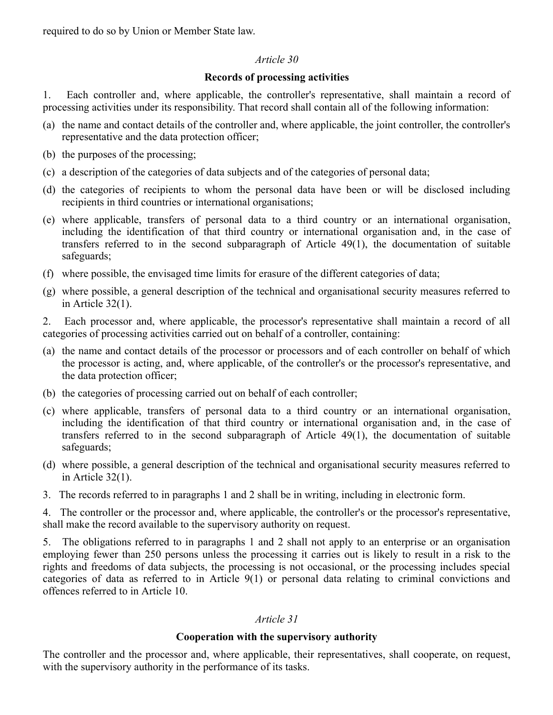required to do so by Union or Member State law.

### *Article 30*

### **Records of processing activities**

1. Each controller and, where applicable, the controller's representative, shall maintain a record of processing activities under its responsibility. That record shall contain all of the following information:

- (a) the name and contact details of the controller and, where applicable, the joint controller, the controller's representative and the data protection officer;
- (b) the purposes of the processing;
- (c) a description of the categories of data subjects and of the categories of personal data;
- (d) the categories of recipients to whom the personal data have been or will be disclosed including recipients in third countries or international organisations;
- (e) where applicable, transfers of personal data to a third country or an international organisation, including the identification of that third country or international organisation and, in the case of transfers referred to in the second subparagraph of Article 49(1), the documentation of suitable safeguards;
- (f) where possible, the envisaged time limits for erasure of the different categories of data;
- (g) where possible, a general description of the technical and organisational security measures referred to in Article 32(1).

2. Each processor and, where applicable, the processor's representative shall maintain a record of all categories of processing activities carried out on behalf of a controller, containing:

- (a) the name and contact details of the processor or processors and of each controller on behalf of which the processor is acting, and, where applicable, of the controller's or the processor's representative, and the data protection officer;
- (b) the categories of processing carried out on behalf of each controller;
- (c) where applicable, transfers of personal data to a third country or an international organisation, including the identification of that third country or international organisation and, in the case of transfers referred to in the second subparagraph of Article 49(1), the documentation of suitable safeguards;
- (d) where possible, a general description of the technical and organisational security measures referred to in Article 32(1).
- 3. The records referred to in paragraphs 1 and 2 shall be in writing, including in electronic form.

4. The controller or the processor and, where applicable, the controller's or the processor's representative, shall make the record available to the supervisory authority on request.

5. The obligations referred to in paragraphs 1 and 2 shall not apply to an enterprise or an organisation employing fewer than 250 persons unless the processing it carries out is likely to result in a risk to the rights and freedoms of data subjects, the processing is not occasional, or the processing includes special categories of data as referred to in Article 9(1) or personal data relating to criminal convictions and offences referred to in Article 10.

## *Article 31*

## **Cooperation with the supervisory authority**

The controller and the processor and, where applicable, their representatives, shall cooperate, on request, with the supervisory authority in the performance of its tasks.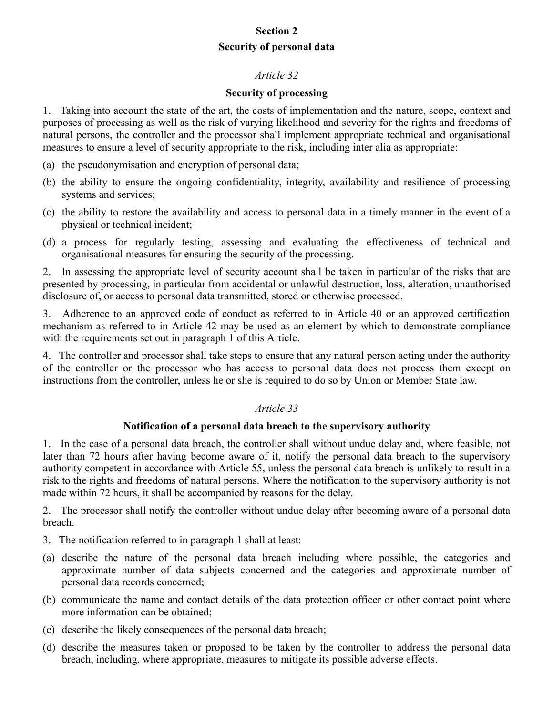# **Section 2 Security of personal data**

## *Article 32*

## **Security of processing**

1. Taking into account the state of the art, the costs of implementation and the nature, scope, context and purposes of processing as well as the risk of varying likelihood and severity for the rights and freedoms of natural persons, the controller and the processor shall implement appropriate technical and organisational measures to ensure a level of security appropriate to the risk, including inter alia as appropriate:

- (a) the pseudonymisation and encryption of personal data;
- (b) the ability to ensure the ongoing confidentiality, integrity, availability and resilience of processing systems and services;
- (c) the ability to restore the availability and access to personal data in a timely manner in the event of a physical or technical incident;
- (d) a process for regularly testing, assessing and evaluating the effectiveness of technical and organisational measures for ensuring the security of the processing.

2. In assessing the appropriate level of security account shall be taken in particular of the risks that are presented by processing, in particular from accidental or unlawful destruction, loss, alteration, unauthorised disclosure of, or access to personal data transmitted, stored or otherwise processed.

3. Adherence to an approved code of conduct as referred to in Article 40 or an approved certification mechanism as referred to in Article 42 may be used as an element by which to demonstrate compliance with the requirements set out in paragraph 1 of this Article.

4. The controller and processor shall take steps to ensure that any natural person acting under the authority of the controller or the processor who has access to personal data does not process them except on instructions from the controller, unless he or she is required to do so by Union or Member State law.

## *Article 33*

## **Notification of a personal data breach to the supervisory authority**

1. In the case of a personal data breach, the controller shall without undue delay and, where feasible, not later than 72 hours after having become aware of it, notify the personal data breach to the supervisory authority competent in accordance with Article 55, unless the personal data breach is unlikely to result in a risk to the rights and freedoms of natural persons. Where the notification to the supervisory authority is not made within 72 hours, it shall be accompanied by reasons for the delay.

2. The processor shall notify the controller without undue delay after becoming aware of a personal data breach.

- 3. The notification referred to in paragraph 1 shall at least:
- (a) describe the nature of the personal data breach including where possible, the categories and approximate number of data subjects concerned and the categories and approximate number of personal data records concerned;
- (b) communicate the name and contact details of the data protection officer or other contact point where more information can be obtained;
- (c) describe the likely consequences of the personal data breach;
- (d) describe the measures taken or proposed to be taken by the controller to address the personal data breach, including, where appropriate, measures to mitigate its possible adverse effects.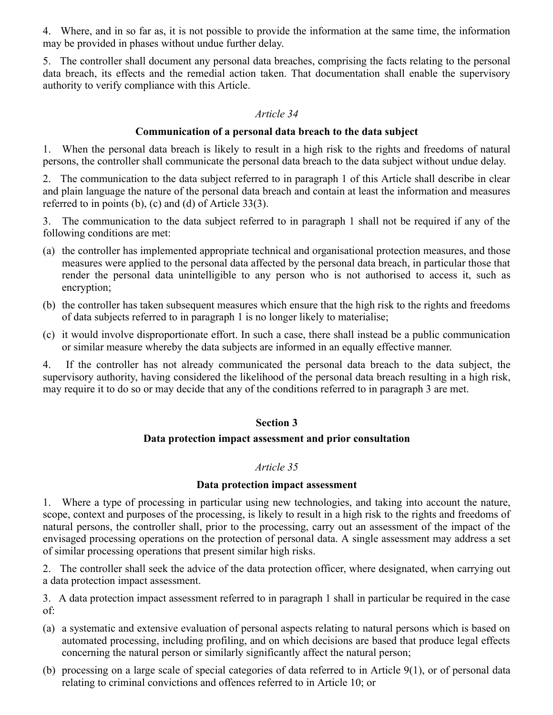4. Where, and in so far as, it is not possible to provide the information at the same time, the information may be provided in phases without undue further delay.

5. The controller shall document any personal data breaches, comprising the facts relating to the personal data breach, its effects and the remedial action taken. That documentation shall enable the supervisory authority to verify compliance with this Article.

### *Article 34*

#### **Communication of a personal data breach to the data subject**

1. When the personal data breach is likely to result in a high risk to the rights and freedoms of natural persons, the controller shall communicate the personal data breach to the data subject without undue delay.

2. The communication to the data subject referred to in paragraph 1 of this Article shall describe in clear and plain language the nature of the personal data breach and contain at least the information and measures referred to in points (b), (c) and (d) of Article 33(3).

3. The communication to the data subject referred to in paragraph 1 shall not be required if any of the following conditions are met:

- (a) the controller has implemented appropriate technical and organisational protection measures, and those measures were applied to the personal data affected by the personal data breach, in particular those that render the personal data unintelligible to any person who is not authorised to access it, such as encryption;
- (b) the controller has taken subsequent measures which ensure that the high risk to the rights and freedoms of data subjects referred to in paragraph 1 is no longer likely to materialise;
- (c) it would involve disproportionate effort. In such a case, there shall instead be a public communication or similar measure whereby the data subjects are informed in an equally effective manner.

4. If the controller has not already communicated the personal data breach to the data subject, the supervisory authority, having considered the likelihood of the personal data breach resulting in a high risk, may require it to do so or may decide that any of the conditions referred to in paragraph 3 are met.

#### **Section 3**

#### **Data protection impact assessment and prior consultation**

## *Article 35*

#### **Data protection impact assessment**

1. Where a type of processing in particular using new technologies, and taking into account the nature, scope, context and purposes of the processing, is likely to result in a high risk to the rights and freedoms of natural persons, the controller shall, prior to the processing, carry out an assessment of the impact of the envisaged processing operations on the protection of personal data. A single assessment may address a set of similar processing operations that present similar high risks.

2. The controller shall seek the advice of the data protection officer, where designated, when carrying out a data protection impact assessment.

3. A data protection impact assessment referred to in paragraph 1 shall in particular be required in the case of:

- (a) a systematic and extensive evaluation of personal aspects relating to natural persons which is based on automated processing, including profiling, and on which decisions are based that produce legal effects concerning the natural person or similarly significantly affect the natural person;
- (b) processing on a large scale of special categories of data referred to in Article 9(1), or of personal data relating to criminal convictions and offences referred to in Article 10; or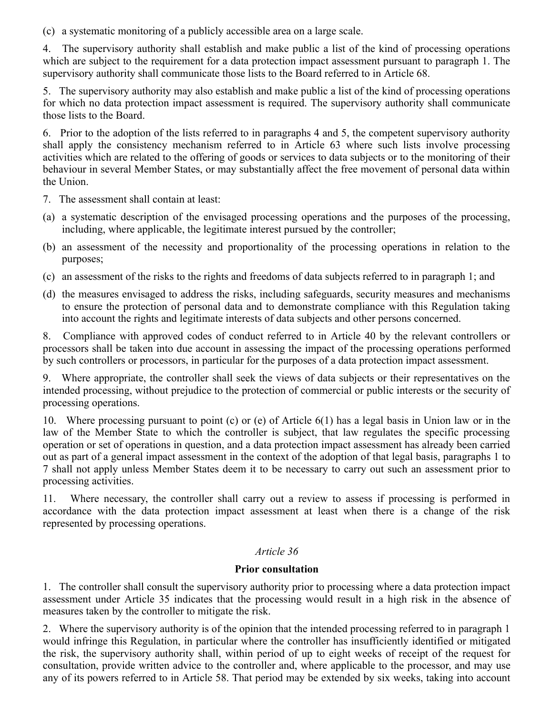(c) a systematic monitoring of a publicly accessible area on a large scale.

4. The supervisory authority shall establish and make public a list of the kind of processing operations which are subject to the requirement for a data protection impact assessment pursuant to paragraph 1. The supervisory authority shall communicate those lists to the Board referred to in Article 68.

5. The supervisory authority may also establish and make public a list of the kind of processing operations for which no data protection impact assessment is required. The supervisory authority shall communicate those lists to the Board.

6. Prior to the adoption of the lists referred to in paragraphs 4 and 5, the competent supervisory authority shall apply the consistency mechanism referred to in Article 63 where such lists involve processing activities which are related to the offering of goods or services to data subjects or to the monitoring of their behaviour in several Member States, or may substantially affect the free movement of personal data within the Union.

- 7. The assessment shall contain at least:
- (a) a systematic description of the envisaged processing operations and the purposes of the processing, including, where applicable, the legitimate interest pursued by the controller;
- (b) an assessment of the necessity and proportionality of the processing operations in relation to the purposes;
- (c) an assessment of the risks to the rights and freedoms of data subjects referred to in paragraph 1; and
- (d) the measures envisaged to address the risks, including safeguards, security measures and mechanisms to ensure the protection of personal data and to demonstrate compliance with this Regulation taking into account the rights and legitimate interests of data subjects and other persons concerned.

8. Compliance with approved codes of conduct referred to in Article 40 by the relevant controllers or processors shall be taken into due account in assessing the impact of the processing operations performed by such controllers or processors, in particular for the purposes of a data protection impact assessment.

9. Where appropriate, the controller shall seek the views of data subjects or their representatives on the intended processing, without prejudice to the protection of commercial or public interests or the security of processing operations.

10. Where processing pursuant to point (c) or (e) of Article 6(1) has a legal basis in Union law or in the law of the Member State to which the controller is subject, that law regulates the specific processing operation or set of operations in question, and a data protection impact assessment has already been carried out as part of a general impact assessment in the context of the adoption of that legal basis, paragraphs 1 to 7 shall not apply unless Member States deem it to be necessary to carry out such an assessment prior to processing activities.

11. Where necessary, the controller shall carry out a review to assess if processing is performed in accordance with the data protection impact assessment at least when there is a change of the risk represented by processing operations.

## *Article 36*

## **Prior consultation**

1. The controller shall consult the supervisory authority prior to processing where a data protection impact assessment under Article 35 indicates that the processing would result in a high risk in the absence of measures taken by the controller to mitigate the risk.

2. Where the supervisory authority is of the opinion that the intended processing referred to in paragraph 1 would infringe this Regulation, in particular where the controller has insufficiently identified or mitigated the risk, the supervisory authority shall, within period of up to eight weeks of receipt of the request for consultation, provide written advice to the controller and, where applicable to the processor, and may use any of its powers referred to in Article 58. That period may be extended by six weeks, taking into account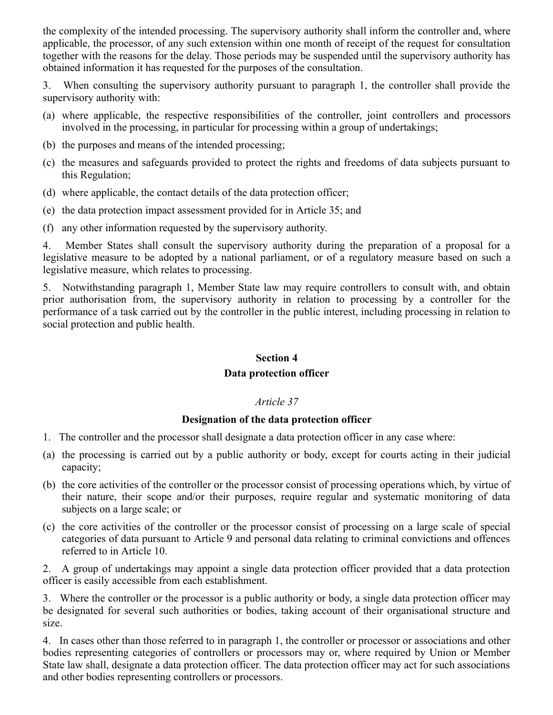the complexity of the intended processing. The supervisory authority shall inform the controller and, where applicable, the processor, of any such extension within one month of receipt of the request for consultation together with the reasons for the delay. Those periods may be suspended until the supervisory authority has obtained information it has requested for the purposes of the consultation.

3. When consulting the supervisory authority pursuant to paragraph 1, the controller shall provide the supervisory authority with:

- (a) where applicable, the respective responsibilities of the controller, joint controllers and processors involved in the processing, in particular for processing within a group of undertakings;
- (b) the purposes and means of the intended processing;
- (c) the measures and safeguards provided to protect the rights and freedoms of data subjects pursuant to this Regulation;
- (d) where applicable, the contact details of the data protection officer;
- (e) the data protection impact assessment provided for in Article 35; and
- (f) any other information requested by the supervisory authority.

4. Member States shall consult the supervisory authority during the preparation of a proposal for a legislative measure to be adopted by a national parliament, or of a regulatory measure based on such a legislative measure, which relates to processing.

5. Notwithstanding paragraph 1, Member State law may require controllers to consult with, and obtain prior authorisation from, the supervisory authority in relation to processing by a controller for the performance of a task carried out by the controller in the public interest, including processing in relation to social protection and public health.

#### **Section 4**

#### **Data protection officer**

## *Article 37*

## **Designation of the data protection officer**

- 1. The controller and the processor shall designate a data protection officer in any case where:
- (a) the processing is carried out by a public authority or body, except for courts acting in their judicial capacity;
- (b) the core activities of the controller or the processor consist of processing operations which, by virtue of their nature, their scope and/or their purposes, require regular and systematic monitoring of data subjects on a large scale; or
- (c) the core activities of the controller or the processor consist of processing on a large scale of special categories of data pursuant to Article 9 and personal data relating to criminal convictions and offences referred to in Article 10.

2. A group of undertakings may appoint a single data protection officer provided that a data protection officer is easily accessible from each establishment.

3. Where the controller or the processor is a public authority or body, a single data protection officer may be designated for several such authorities or bodies, taking account of their organisational structure and size.

4. In cases other than those referred to in paragraph 1, the controller or processor or associations and other bodies representing categories of controllers or processors may or, where required by Union or Member State law shall, designate a data protection officer. The data protection officer may act for such associations and other bodies representing controllers or processors.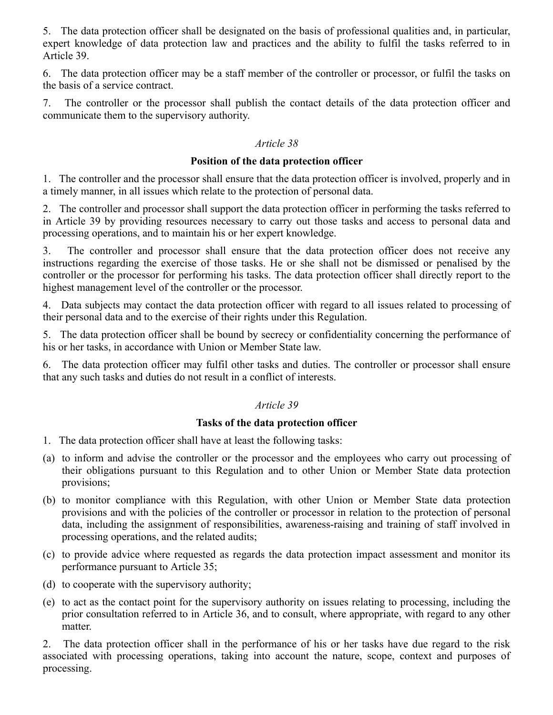5. The data protection officer shall be designated on the basis of professional qualities and, in particular, expert knowledge of data protection law and practices and the ability to fulfil the tasks referred to in Article 39.

6. The data protection officer may be a staff member of the controller or processor, or fulfil the tasks on the basis of a service contract.

7. The controller or the processor shall publish the contact details of the data protection officer and communicate them to the supervisory authority.

### *Article 38*

### **Position of the data protection officer**

1. The controller and the processor shall ensure that the data protection officer is involved, properly and in a timely manner, in all issues which relate to the protection of personal data.

2. The controller and processor shall support the data protection officer in performing the tasks referred to in Article 39 by providing resources necessary to carry out those tasks and access to personal data and processing operations, and to maintain his or her expert knowledge.

3. The controller and processor shall ensure that the data protection officer does not receive any instructions regarding the exercise of those tasks. He or she shall not be dismissed or penalised by the controller or the processor for performing his tasks. The data protection officer shall directly report to the highest management level of the controller or the processor.

4. Data subjects may contact the data protection officer with regard to all issues related to processing of their personal data and to the exercise of their rights under this Regulation.

5. The data protection officer shall be bound by secrecy or confidentiality concerning the performance of his or her tasks, in accordance with Union or Member State law.

6. The data protection officer may fulfil other tasks and duties. The controller or processor shall ensure that any such tasks and duties do not result in a conflict of interests.

## *Article 39*

## **Tasks of the data protection officer**

- 1. The data protection officer shall have at least the following tasks:
- (a) to inform and advise the controller or the processor and the employees who carry out processing of their obligations pursuant to this Regulation and to other Union or Member State data protection provisions;
- (b) to monitor compliance with this Regulation, with other Union or Member State data protection provisions and with the policies of the controller or processor in relation to the protection of personal data, including the assignment of responsibilities, awareness-raising and training of staff involved in processing operations, and the related audits;
- (c) to provide advice where requested as regards the data protection impact assessment and monitor its performance pursuant to Article 35;
- (d) to cooperate with the supervisory authority;
- (e) to act as the contact point for the supervisory authority on issues relating to processing, including the prior consultation referred to in Article 36, and to consult, where appropriate, with regard to any other matter.

2. The data protection officer shall in the performance of his or her tasks have due regard to the risk associated with processing operations, taking into account the nature, scope, context and purposes of processing.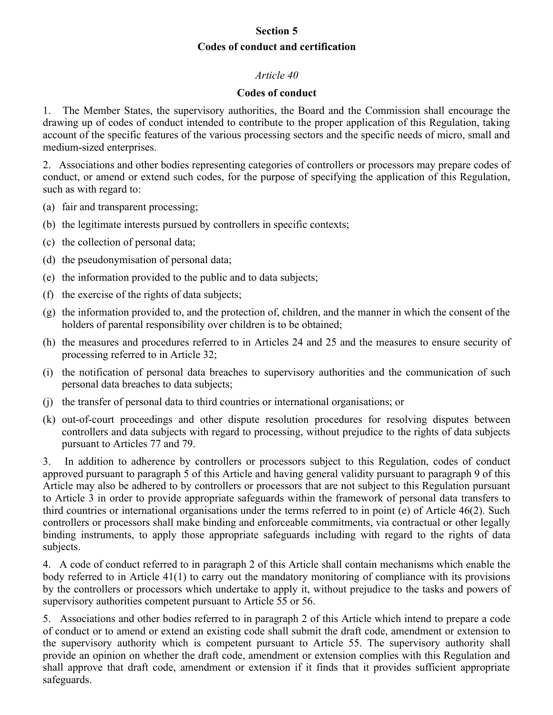## **Section 5 Codes of conduct and certification**

### *Article 40*

#### **Codes of conduct**

1. The Member States, the supervisory authorities, the Board and the Commission shall encourage the drawing up of codes of conduct intended to contribute to the proper application of this Regulation, taking account of the specific features of the various processing sectors and the specific needs of micro, small and medium-sized enterprises.

2. Associations and other bodies representing categories of controllers or processors may prepare codes of conduct, or amend or extend such codes, for the purpose of specifying the application of this Regulation, such as with regard to:

- (a) fair and transparent processing;
- (b) the legitimate interests pursued by controllers in specific contexts;
- (c) the collection of personal data;
- (d) the pseudonymisation of personal data;
- (e) the information provided to the public and to data subjects;
- (f) the exercise of the rights of data subjects;
- (g) the information provided to, and the protection of, children, and the manner in which the consent of the holders of parental responsibility over children is to be obtained;
- (h) the measures and procedures referred to in Articles 24 and 25 and the measures to ensure security of processing referred to in Article 32;
- (i) the notification of personal data breaches to supervisory authorities and the communication of such personal data breaches to data subjects;
- (j) the transfer of personal data to third countries or international organisations; or
- (k) out-of-court proceedings and other dispute resolution procedures for resolving disputes between controllers and data subjects with regard to processing, without prejudice to the rights of data subjects pursuant to Articles 77 and 79.

3. In addition to adherence by controllers or processors subject to this Regulation, codes of conduct approved pursuant to paragraph 5 of this Article and having general validity pursuant to paragraph 9 of this Article may also be adhered to by controllers or processors that are not subject to this Regulation pursuant to Article 3 in order to provide appropriate safeguards within the framework of personal data transfers to third countries or international organisations under the terms referred to in point (e) of Article 46(2). Such controllers or processors shall make binding and enforceable commitments, via contractual or other legally binding instruments, to apply those appropriate safeguards including with regard to the rights of data subjects.

4. A code of conduct referred to in paragraph 2 of this Article shall contain mechanisms which enable the body referred to in Article 41(1) to carry out the mandatory monitoring of compliance with its provisions by the controllers or processors which undertake to apply it, without prejudice to the tasks and powers of supervisory authorities competent pursuant to Article 55 or 56.

5. Associations and other bodies referred to in paragraph 2 of this Article which intend to prepare a code of conduct or to amend or extend an existing code shall submit the draft code, amendment or extension to the supervisory authority which is competent pursuant to Article 55. The supervisory authority shall provide an opinion on whether the draft code, amendment or extension complies with this Regulation and shall approve that draft code, amendment or extension if it finds that it provides sufficient appropriate safeguards.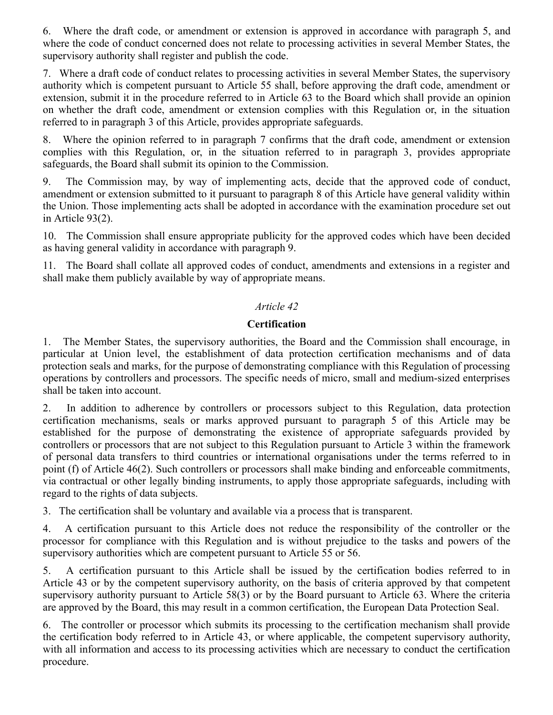6. Where the draft code, or amendment or extension is approved in accordance with paragraph 5, and where the code of conduct concerned does not relate to processing activities in several Member States, the supervisory authority shall register and publish the code.

7. Where a draft code of conduct relates to processing activities in several Member States, the supervisory authority which is competent pursuant to Article 55 shall, before approving the draft code, amendment or extension, submit it in the procedure referred to in Article 63 to the Board which shall provide an opinion on whether the draft code, amendment or extension complies with this Regulation or, in the situation referred to in paragraph 3 of this Article, provides appropriate safeguards.

8. Where the opinion referred to in paragraph 7 confirms that the draft code, amendment or extension complies with this Regulation, or, in the situation referred to in paragraph 3, provides appropriate safeguards, the Board shall submit its opinion to the Commission.

9. The Commission may, by way of implementing acts, decide that the approved code of conduct, amendment or extension submitted to it pursuant to paragraph 8 of this Article have general validity within the Union. Those implementing acts shall be adopted in accordance with the examination procedure set out in Article 93(2).

10. The Commission shall ensure appropriate publicity for the approved codes which have been decided as having general validity in accordance with paragraph 9.

11. The Board shall collate all approved codes of conduct, amendments and extensions in a register and shall make them publicly available by way of appropriate means.

## *Article 42*

## **Certification**

1. The Member States, the supervisory authorities, the Board and the Commission shall encourage, in particular at Union level, the establishment of data protection certification mechanisms and of data protection seals and marks, for the purpose of demonstrating compliance with this Regulation of processing operations by controllers and processors. The specific needs of micro, small and mediumsized enterprises shall be taken into account.

2. In addition to adherence by controllers or processors subject to this Regulation, data protection certification mechanisms, seals or marks approved pursuant to paragraph 5 of this Article may be established for the purpose of demonstrating the existence of appropriate safeguards provided by controllers or processors that are not subject to this Regulation pursuant to Article 3 within the framework of personal data transfers to third countries or international organisations under the terms referred to in point (f) of Article 46(2). Such controllers or processors shall make binding and enforceable commitments, via contractual or other legally binding instruments, to apply those appropriate safeguards, including with regard to the rights of data subjects.

3. The certification shall be voluntary and available via a process that is transparent.

4. A certification pursuant to this Article does not reduce the responsibility of the controller or the processor for compliance with this Regulation and is without prejudice to the tasks and powers of the supervisory authorities which are competent pursuant to Article 55 or 56.

5. A certification pursuant to this Article shall be issued by the certification bodies referred to in Article 43 or by the competent supervisory authority, on the basis of criteria approved by that competent supervisory authority pursuant to Article 58(3) or by the Board pursuant to Article 63. Where the criteria are approved by the Board, this may result in a common certification, the European Data Protection Seal.

6. The controller or processor which submits its processing to the certification mechanism shall provide the certification body referred to in Article 43, or where applicable, the competent supervisory authority, with all information and access to its processing activities which are necessary to conduct the certification procedure.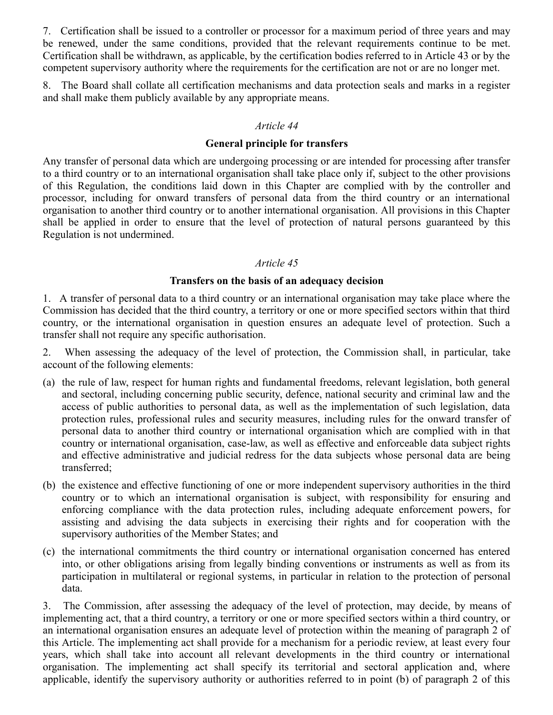7. Certification shall be issued to a controller or processor for a maximum period of three years and may be renewed, under the same conditions, provided that the relevant requirements continue to be met. Certification shall be withdrawn, as applicable, by the certification bodies referred to in Article 43 or by the competent supervisory authority where the requirements for the certification are not or are no longer met.

8. The Board shall collate all certification mechanisms and data protection seals and marks in a register and shall make them publicly available by any appropriate means.

#### *Article 44*

#### **General principle for transfers**

Any transfer of personal data which are undergoing processing or are intended for processing after transfer to a third country or to an international organisation shall take place only if, subject to the other provisions of this Regulation, the conditions laid down in this Chapter are complied with by the controller and processor, including for onward transfers of personal data from the third country or an international organisation to another third country or to another international organisation. All provisions in this Chapter shall be applied in order to ensure that the level of protection of natural persons guaranteed by this Regulation is not undermined.

#### *Article 45*

#### **Transfers on the basis of an adequacy decision**

1. A transfer of personal data to a third country or an international organisation may take place where the Commission has decided that the third country, a territory or one or more specified sectors within that third country, or the international organisation in question ensures an adequate level of protection. Such a transfer shall not require any specific authorisation.

2. When assessing the adequacy of the level of protection, the Commission shall, in particular, take account of the following elements:

- (a) the rule of law, respect for human rights and fundamental freedoms, relevant legislation, both general and sectoral, including concerning public security, defence, national security and criminal law and the access of public authorities to personal data, as well as the implementation of such legislation, data protection rules, professional rules and security measures, including rules for the onward transfer of personal data to another third country or international organisation which are complied with in that country or international organisation, case-law, as well as effective and enforceable data subject rights and effective administrative and judicial redress for the data subjects whose personal data are being transferred;
- (b) the existence and effective functioning of one or more independent supervisory authorities in the third country or to which an international organisation is subject, with responsibility for ensuring and enforcing compliance with the data protection rules, including adequate enforcement powers, for assisting and advising the data subjects in exercising their rights and for cooperation with the supervisory authorities of the Member States; and
- (c) the international commitments the third country or international organisation concerned has entered into, or other obligations arising from legally binding conventions or instruments as well as from its participation in multilateral or regional systems, in particular in relation to the protection of personal data.

3. The Commission, after assessing the adequacy of the level of protection, may decide, by means of implementing act, that a third country, a territory or one or more specified sectors within a third country, or an international organisation ensures an adequate level of protection within the meaning of paragraph 2 of this Article. The implementing act shall provide for a mechanism for a periodic review, at least every four years, which shall take into account all relevant developments in the third country or international organisation. The implementing act shall specify its territorial and sectoral application and, where applicable, identify the supervisory authority or authorities referred to in point (b) of paragraph 2 of this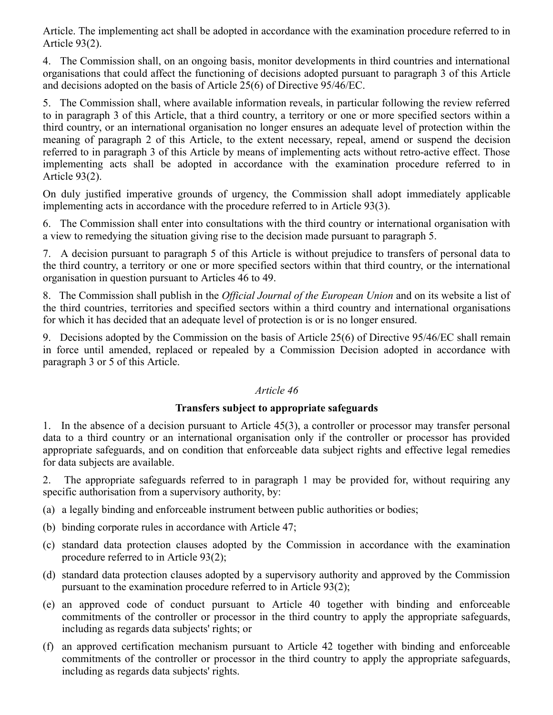Article. The implementing act shall be adopted in accordance with the examination procedure referred to in Article 93(2).

4. The Commission shall, on an ongoing basis, monitor developments in third countries and international organisations that could affect the functioning of decisions adopted pursuant to paragraph 3 of this Article and decisions adopted on the basis of Article 25(6) of Directive 95/46/EC.

5. The Commission shall, where available information reveals, in particular following the review referred to in paragraph 3 of this Article, that a third country, a territory or one or more specified sectors within a third country, or an international organisation no longer ensures an adequate level of protection within the meaning of paragraph 2 of this Article, to the extent necessary, repeal, amend or suspend the decision referred to in paragraph 3 of this Article by means of implementing acts without retro-active effect. Those implementing acts shall be adopted in accordance with the examination procedure referred to in Article 93(2).

On duly justified imperative grounds of urgency, the Commission shall adopt immediately applicable implementing acts in accordance with the procedure referred to in Article 93(3).

6. The Commission shall enter into consultations with the third country or international organisation with a view to remedying the situation giving rise to the decision made pursuant to paragraph 5.

7. A decision pursuant to paragraph 5 of this Article is without prejudice to transfers of personal data to the third country, a territory or one or more specified sectors within that third country, or the international organisation in question pursuant to Articles 46 to 49.

8. The Commission shall publish in the *Official Journal of the European Union* and on its website a list of the third countries, territories and specified sectors within a third country and international organisations for which it has decided that an adequate level of protection is or is no longer ensured.

9. Decisions adopted by the Commission on the basis of Article 25(6) of Directive 95/46/EC shall remain in force until amended, replaced or repealed by a Commission Decision adopted in accordance with paragraph 3 or 5 of this Article.

## *Article 46*

#### **Transfers subject to appropriate safeguards**

1. In the absence of a decision pursuant to Article 45(3), a controller or processor may transfer personal data to a third country or an international organisation only if the controller or processor has provided appropriate safeguards, and on condition that enforceable data subject rights and effective legal remedies for data subjects are available.

2. The appropriate safeguards referred to in paragraph 1 may be provided for, without requiring any specific authorisation from a supervisory authority, by:

- (a) a legally binding and enforceable instrument between public authorities or bodies;
- (b) binding corporate rules in accordance with Article 47;
- (c) standard data protection clauses adopted by the Commission in accordance with the examination procedure referred to in Article 93(2);
- (d) standard data protection clauses adopted by a supervisory authority and approved by the Commission pursuant to the examination procedure referred to in Article 93(2);
- (e) an approved code of conduct pursuant to Article 40 together with binding and enforceable commitments of the controller or processor in the third country to apply the appropriate safeguards, including as regards data subjects' rights; or
- (f) an approved certification mechanism pursuant to Article 42 together with binding and enforceable commitments of the controller or processor in the third country to apply the appropriate safeguards, including as regards data subjects' rights.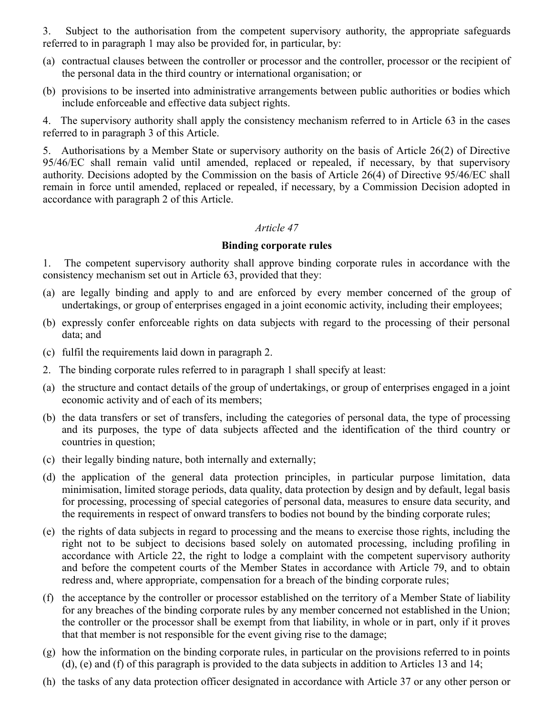3. Subject to the authorisation from the competent supervisory authority, the appropriate safeguards referred to in paragraph 1 may also be provided for, in particular, by:

- (a) contractual clauses between the controller or processor and the controller, processor or the recipient of the personal data in the third country or international organisation; or
- (b) provisions to be inserted into administrative arrangements between public authorities or bodies which include enforceable and effective data subject rights.

4. The supervisory authority shall apply the consistency mechanism referred to in Article 63 in the cases referred to in paragraph 3 of this Article.

5. Authorisations by a Member State or supervisory authority on the basis of Article 26(2) of Directive 95/46/EC shall remain valid until amended, replaced or repealed, if necessary, by that supervisory authority. Decisions adopted by the Commission on the basis of Article 26(4) of Directive 95/46/EC shall remain in force until amended, replaced or repealed, if necessary, by a Commission Decision adopted in accordance with paragraph 2 of this Article.

#### *Article 47*

#### **Binding corporate rules**

1. The competent supervisory authority shall approve binding corporate rules in accordance with the consistency mechanism set out in Article 63, provided that they:

- (a) are legally binding and apply to and are enforced by every member concerned of the group of undertakings, or group of enterprises engaged in a joint economic activity, including their employees;
- (b) expressly confer enforceable rights on data subjects with regard to the processing of their personal data; and
- (c) fulfil the requirements laid down in paragraph 2.
- 2. The binding corporate rules referred to in paragraph 1 shall specify at least:
- (a) the structure and contact details of the group of undertakings, or group of enterprises engaged in a joint economic activity and of each of its members;
- (b) the data transfers or set of transfers, including the categories of personal data, the type of processing and its purposes, the type of data subjects affected and the identification of the third country or countries in question;
- (c) their legally binding nature, both internally and externally;
- (d) the application of the general data protection principles, in particular purpose limitation, data minimisation, limited storage periods, data quality, data protection by design and by default, legal basis for processing, processing of special categories of personal data, measures to ensure data security, and the requirements in respect of onward transfers to bodies not bound by the binding corporate rules;
- (e) the rights of data subjects in regard to processing and the means to exercise those rights, including the right not to be subject to decisions based solely on automated processing, including profiling in accordance with Article 22, the right to lodge a complaint with the competent supervisory authority and before the competent courts of the Member States in accordance with Article 79, and to obtain redress and, where appropriate, compensation for a breach of the binding corporate rules;
- (f) the acceptance by the controller or processor established on the territory of a Member State of liability for any breaches of the binding corporate rules by any member concerned not established in the Union; the controller or the processor shall be exempt from that liability, in whole or in part, only if it proves that that member is not responsible for the event giving rise to the damage;
- (g) how the information on the binding corporate rules, in particular on the provisions referred to in points (d), (e) and (f) of this paragraph is provided to the data subjects in addition to Articles 13 and 14;
- (h) the tasks of any data protection officer designated in accordance with Article 37 or any other person or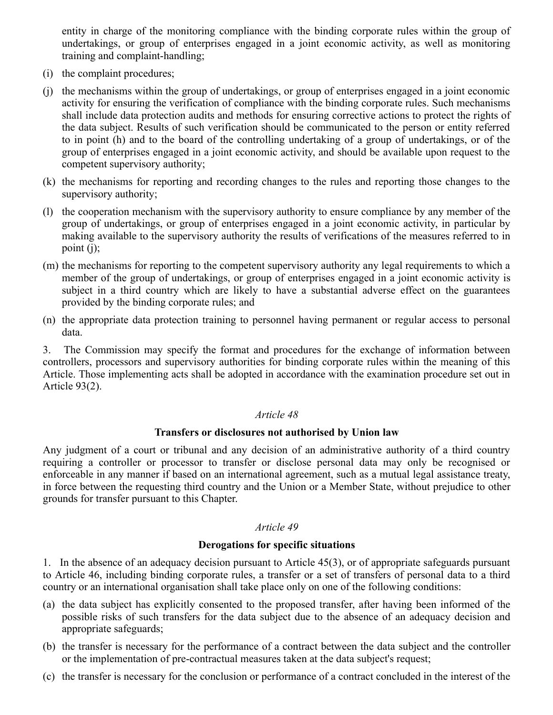entity in charge of the monitoring compliance with the binding corporate rules within the group of undertakings, or group of enterprises engaged in a joint economic activity, as well as monitoring training and complaint-handling;

- (i) the complaint procedures;
- (j) the mechanisms within the group of undertakings, or group of enterprises engaged in a joint economic activity for ensuring the verification of compliance with the binding corporate rules. Such mechanisms shall include data protection audits and methods for ensuring corrective actions to protect the rights of the data subject. Results of such verification should be communicated to the person or entity referred to in point (h) and to the board of the controlling undertaking of a group of undertakings, or of the group of enterprises engaged in a joint economic activity, and should be available upon request to the competent supervisory authority;
- (k) the mechanisms for reporting and recording changes to the rules and reporting those changes to the supervisory authority;
- (l) the cooperation mechanism with the supervisory authority to ensure compliance by any member of the group of undertakings, or group of enterprises engaged in a joint economic activity, in particular by making available to the supervisory authority the results of verifications of the measures referred to in point (j);
- (m) the mechanisms for reporting to the competent supervisory authority any legal requirements to which a member of the group of undertakings, or group of enterprises engaged in a joint economic activity is subject in a third country which are likely to have a substantial adverse effect on the guarantees provided by the binding corporate rules; and
- (n) the appropriate data protection training to personnel having permanent or regular access to personal data.

3. The Commission may specify the format and procedures for the exchange of information between controllers, processors and supervisory authorities for binding corporate rules within the meaning of this Article. Those implementing acts shall be adopted in accordance with the examination procedure set out in Article 93(2).

#### *Article 48*

#### **Transfers or disclosures not authorised by Union law**

Any judgment of a court or tribunal and any decision of an administrative authority of a third country requiring a controller or processor to transfer or disclose personal data may only be recognised or enforceable in any manner if based on an international agreement, such as a mutual legal assistance treaty, in force between the requesting third country and the Union or a Member State, without prejudice to other grounds for transfer pursuant to this Chapter.

#### *Article 49*

#### **Derogations for specific situations**

1. In the absence of an adequacy decision pursuant to Article 45(3), or of appropriate safeguards pursuant to Article 46, including binding corporate rules, a transfer or a set of transfers of personal data to a third country or an international organisation shall take place only on one of the following conditions:

- (a) the data subject has explicitly consented to the proposed transfer, after having been informed of the possible risks of such transfers for the data subject due to the absence of an adequacy decision and appropriate safeguards;
- (b) the transfer is necessary for the performance of a contract between the data subject and the controller or the implementation of pre-contractual measures taken at the data subject's request;
- (c) the transfer is necessary for the conclusion or performance of a contract concluded in the interest of the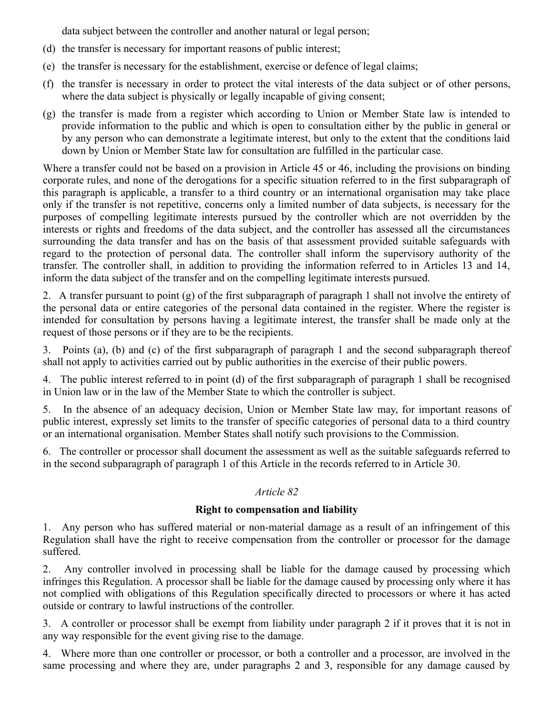data subject between the controller and another natural or legal person;

- (d) the transfer is necessary for important reasons of public interest;
- (e) the transfer is necessary for the establishment, exercise or defence of legal claims;
- (f) the transfer is necessary in order to protect the vital interests of the data subject or of other persons, where the data subject is physically or legally incapable of giving consent;
- (g) the transfer is made from a register which according to Union or Member State law is intended to provide information to the public and which is open to consultation either by the public in general or by any person who can demonstrate a legitimate interest, but only to the extent that the conditions laid down by Union or Member State law for consultation are fulfilled in the particular case.

Where a transfer could not be based on a provision in Article 45 or 46, including the provisions on binding corporate rules, and none of the derogations for a specific situation referred to in the first subparagraph of this paragraph is applicable, a transfer to a third country or an international organisation may take place only if the transfer is not repetitive, concerns only a limited number of data subjects, is necessary for the purposes of compelling legitimate interests pursued by the controller which are not overridden by the interests or rights and freedoms of the data subject, and the controller has assessed all the circumstances surrounding the data transfer and has on the basis of that assessment provided suitable safeguards with regard to the protection of personal data. The controller shall inform the supervisory authority of the transfer. The controller shall, in addition to providing the information referred to in Articles 13 and 14, inform the data subject of the transfer and on the compelling legitimate interests pursued.

2. A transfer pursuant to point (g) of the first subparagraph of paragraph 1 shall not involve the entirety of the personal data or entire categories of the personal data contained in the register. Where the register is intended for consultation by persons having a legitimate interest, the transfer shall be made only at the request of those persons or if they are to be the recipients.

3. Points (a), (b) and (c) of the first subparagraph of paragraph 1 and the second subparagraph thereof shall not apply to activities carried out by public authorities in the exercise of their public powers.

4. The public interest referred to in point (d) of the first subparagraph of paragraph 1 shall be recognised in Union law or in the law of the Member State to which the controller is subject.

5. In the absence of an adequacy decision, Union or Member State law may, for important reasons of public interest, expressly set limits to the transfer of specific categories of personal data to a third country or an international organisation. Member States shall notify such provisions to the Commission.

6. The controller or processor shall document the assessment as well as the suitable safeguards referred to in the second subparagraph of paragraph 1 of this Article in the records referred to in Article 30.

## *Article 82*

## **Right to compensation and liability**

1. Any person who has suffered material or non-material damage as a result of an infringement of this Regulation shall have the right to receive compensation from the controller or processor for the damage suffered.

2. Any controller involved in processing shall be liable for the damage caused by processing which infringes this Regulation. A processor shall be liable for the damage caused by processing only where it has not complied with obligations of this Regulation specifically directed to processors or where it has acted outside or contrary to lawful instructions of the controller.

3. A controller or processor shall be exempt from liability under paragraph 2 if it proves that it is not in any way responsible for the event giving rise to the damage.

4. Where more than one controller or processor, or both a controller and a processor, are involved in the same processing and where they are, under paragraphs 2 and 3, responsible for any damage caused by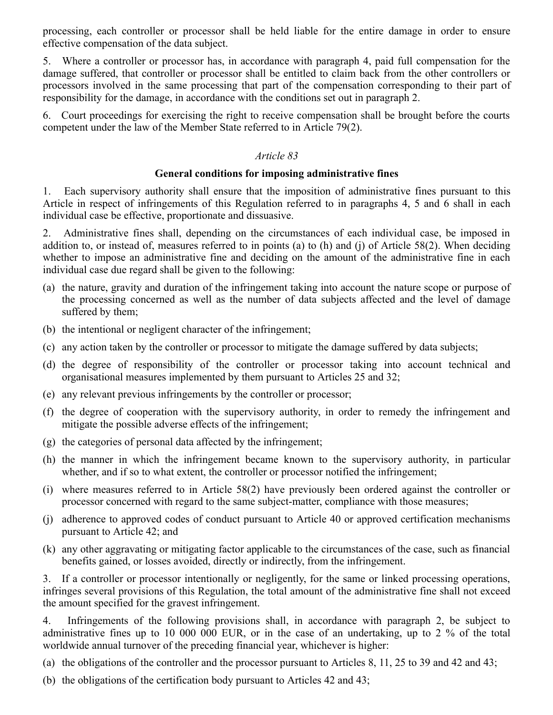processing, each controller or processor shall be held liable for the entire damage in order to ensure effective compensation of the data subject.

5. Where a controller or processor has, in accordance with paragraph 4, paid full compensation for the damage suffered, that controller or processor shall be entitled to claim back from the other controllers or processors involved in the same processing that part of the compensation corresponding to their part of responsibility for the damage, in accordance with the conditions set out in paragraph 2.

6. Court proceedings for exercising the right to receive compensation shall be brought before the courts competent under the law of the Member State referred to in Article 79(2).

#### *Article 83*

#### **General conditions for imposing administrative fines**

1. Each supervisory authority shall ensure that the imposition of administrative fines pursuant to this Article in respect of infringements of this Regulation referred to in paragraphs 4, 5 and 6 shall in each individual case be effective, proportionate and dissuasive.

2. Administrative fines shall, depending on the circumstances of each individual case, be imposed in addition to, or instead of, measures referred to in points (a) to (h) and (j) of Article 58(2). When deciding whether to impose an administrative fine and deciding on the amount of the administrative fine in each individual case due regard shall be given to the following:

- (a) the nature, gravity and duration of the infringement taking into account the nature scope or purpose of the processing concerned as well as the number of data subjects affected and the level of damage suffered by them;
- (b) the intentional or negligent character of the infringement;
- (c) any action taken by the controller or processor to mitigate the damage suffered by data subjects;
- (d) the degree of responsibility of the controller or processor taking into account technical and organisational measures implemented by them pursuant to Articles 25 and 32;
- (e) any relevant previous infringements by the controller or processor;
- (f) the degree of cooperation with the supervisory authority, in order to remedy the infringement and mitigate the possible adverse effects of the infringement;
- (g) the categories of personal data affected by the infringement;
- (h) the manner in which the infringement became known to the supervisory authority, in particular whether, and if so to what extent, the controller or processor notified the infringement;
- (i) where measures referred to in Article 58(2) have previously been ordered against the controller or processor concerned with regard to the same subject-matter, compliance with those measures;
- (j) adherence to approved codes of conduct pursuant to Article 40 or approved certification mechanisms pursuant to Article 42; and
- (k) any other aggravating or mitigating factor applicable to the circumstances of the case, such as financial benefits gained, or losses avoided, directly or indirectly, from the infringement.

3. If a controller or processor intentionally or negligently, for the same or linked processing operations, infringes several provisions of this Regulation, the total amount of the administrative fine shall not exceed the amount specified for the gravest infringement.

4. Infringements of the following provisions shall, in accordance with paragraph 2, be subject to administrative fines up to 10 000 000 EUR, or in the case of an undertaking, up to 2 % of the total worldwide annual turnover of the preceding financial year, whichever is higher:

(a) the obligations of the controller and the processor pursuant to Articles 8, 11, 25 to 39 and 42 and 43;

(b) the obligations of the certification body pursuant to Articles 42 and 43;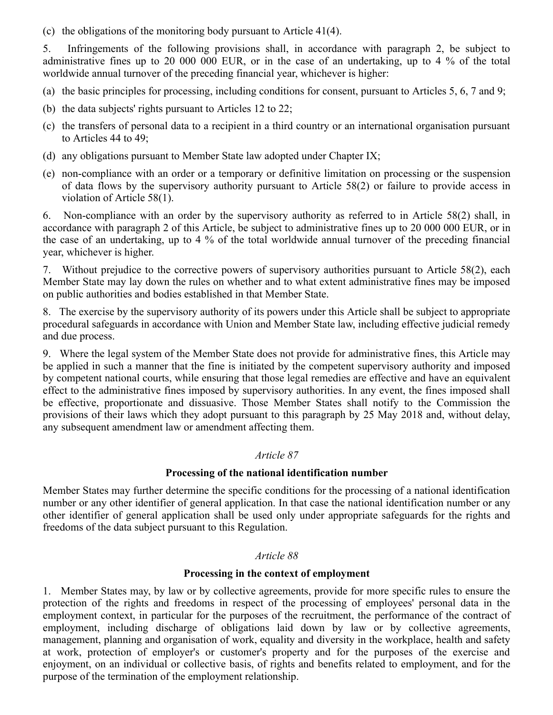(c) the obligations of the monitoring body pursuant to Article 41(4).

5. Infringements of the following provisions shall, in accordance with paragraph 2, be subject to administrative fines up to 20 000 000 EUR, or in the case of an undertaking, up to 4 % of the total worldwide annual turnover of the preceding financial year, whichever is higher:

- (a) the basic principles for processing, including conditions for consent, pursuant to Articles 5, 6, 7 and 9;
- (b) the data subjects' rights pursuant to Articles 12 to 22;
- (c) the transfers of personal data to a recipient in a third country or an international organisation pursuant to Articles 44 to 49;
- (d) any obligations pursuant to Member State law adopted under Chapter IX;
- (e) noncompliance with an order or a temporary or definitive limitation on processing or the suspension of data flows by the supervisory authority pursuant to Article 58(2) or failure to provide access in violation of Article 58(1).

6. Non-compliance with an order by the supervisory authority as referred to in Article 58(2) shall, in accordance with paragraph 2 of this Article, be subject to administrative fines up to 20 000 000 EUR, or in the case of an undertaking, up to 4 % of the total worldwide annual turnover of the preceding financial year, whichever is higher.

7. Without prejudice to the corrective powers of supervisory authorities pursuant to Article 58(2), each Member State may lay down the rules on whether and to what extent administrative fines may be imposed on public authorities and bodies established in that Member State.

8. The exercise by the supervisory authority of its powers under this Article shall be subject to appropriate procedural safeguards in accordance with Union and Member State law, including effective judicial remedy and due process.

9. Where the legal system of the Member State does not provide for administrative fines, this Article may be applied in such a manner that the fine is initiated by the competent supervisory authority and imposed by competent national courts, while ensuring that those legal remedies are effective and have an equivalent effect to the administrative fines imposed by supervisory authorities. In any event, the fines imposed shall be effective, proportionate and dissuasive. Those Member States shall notify to the Commission the provisions of their laws which they adopt pursuant to this paragraph by 25 May 2018 and, without delay, any subsequent amendment law or amendment affecting them.

## *Article 87*

#### **Processing of the national identification number**

Member States may further determine the specific conditions for the processing of a national identification number or any other identifier of general application. In that case the national identification number or any other identifier of general application shall be used only under appropriate safeguards for the rights and freedoms of the data subject pursuant to this Regulation.

#### *Article 88*

#### **Processing in the context of employment**

1. Member States may, by law or by collective agreements, provide for more specific rules to ensure the protection of the rights and freedoms in respect of the processing of employees' personal data in the employment context, in particular for the purposes of the recruitment, the performance of the contract of employment, including discharge of obligations laid down by law or by collective agreements, management, planning and organisation of work, equality and diversity in the workplace, health and safety at work, protection of employer's or customer's property and for the purposes of the exercise and enjoyment, on an individual or collective basis, of rights and benefits related to employment, and for the purpose of the termination of the employment relationship.